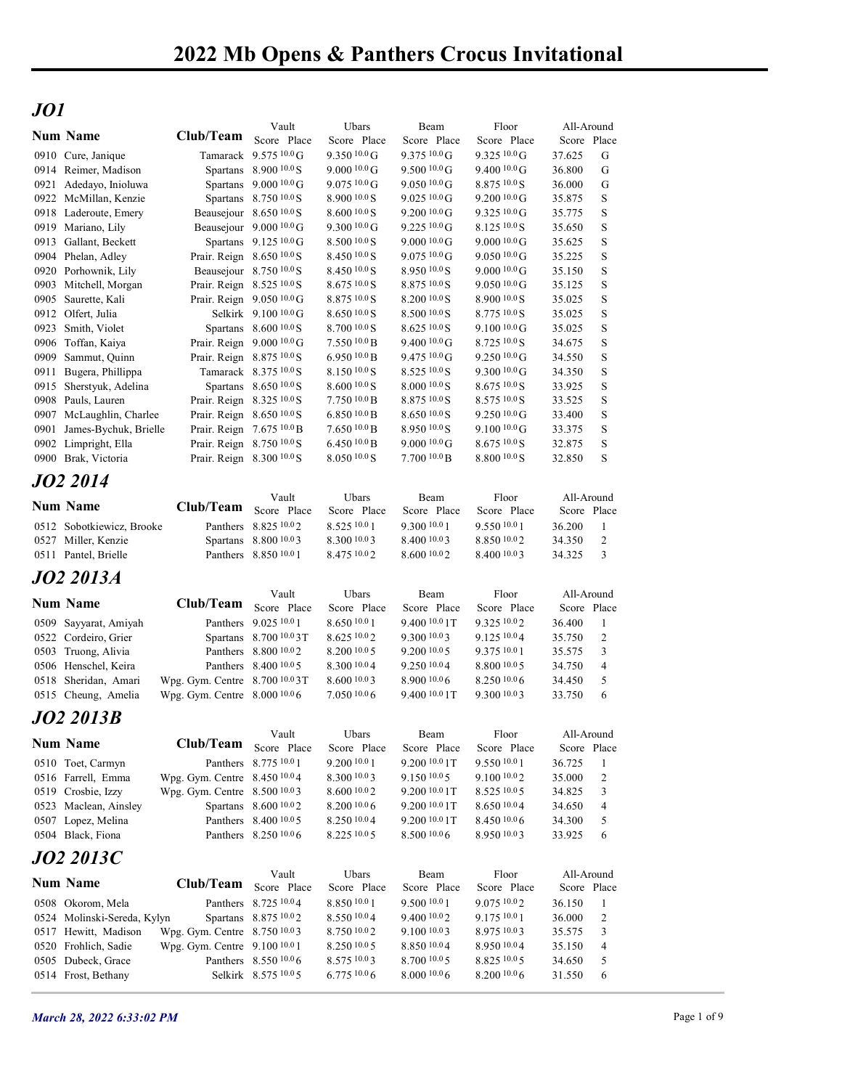## JO1

| JO1<br>Floor<br>Vault<br>Ubars<br>Beam<br>All-Around<br><b>Num Name</b><br>Club/Team Score Place<br>Score Place<br>Score Place<br>Score Place<br>Score Place<br>Tamarack 9.575 10.0 G<br>$9.350\,10.0\,\mathrm{G}$<br>9.375 10.0 G<br>$9.325\,10.0\,\text{G}$<br>G<br>0910 Cure, Janique<br>37.625<br>Spartans 8.900 10.0 S<br>$9.00010.0 \text{ G}$<br>0914 Reimer, Madison<br>$9.50010.0 \text{G}$<br>$9.400\,10.0\,\mathrm{G}$<br>36.800<br>G<br>Spartans 9.000 10.0 G<br>$9.07510.0 \text{G}$<br>8.875 10.0 S<br>0921 Adedayo, Inioluwa<br>$9.050\,10.0\,\text{G}$<br>36.000<br>G<br>Spartans 8.750 10.0 S<br>$8.9001000$ S<br>9.200 10.0 G<br>S<br>0922 McMillan, Kenzie<br>$9.025\,10.0\,\text{G}$<br>35.875<br>Beausejour 8.650 10.0 S<br>8.60010.0 S<br>9.325 10.0 G<br>S<br>0918 Laderoute, Emery<br>$9.200\,10.0\,\text{G}$<br>35.775<br>$9.30010.0$ G<br>8.125 10.0 S<br>S<br>0919 Mariano, Lily<br>Beausejour 9.000 10.0 G<br>$9.225\,10.0\,\text{G}$<br>35.650<br>$8.50010.0$ S<br>9.00010.0 G<br>S<br>0913 Gallant, Beckett<br>Spartans $9.125\,^{10.0}$ G<br>$9.000100 \text{ G}$<br>35.625<br>8.450 10.0 S<br>9.075 10.0 G<br>9.050 10.0 G<br>S<br>Prair. Reign $8.650\,10.0$ S<br>35.225<br>0904 Phelan, Adley<br>Beausejour 8.750 10.0 S<br>$8.45010.0$ S<br>9.00010.0 G<br>S<br>0920 Porhownik, Lily<br>$8.9501000$ S<br>35.150<br>S<br>Prair. Reign 8.525 10.0 S<br>$8.67510.0$ S<br>8.875 10.0 S<br>$9.05010.0 \text{G}$<br>35.125<br>0903 Mitchell, Morgan<br>0905 Saurette, Kali<br>Prair. Reign 9.050 10.0 G<br>$8.87510.0$ S<br>$8.200\,10.0\,\mathrm{S}$<br>$8.900\,10.0\,\mathrm{S}$<br>35.025<br>S<br>Selkirk 9.100 10.0 G<br>8.65010.0 S<br>$8.77510.0$ S<br>S<br>0912 Olfert, Julia<br>$8.5001000$ S<br>35.025<br>Spartans 8.600 10.0 S<br>S<br>0923 Smith, Violet<br>$8.7001000$ S<br>$8.62510.0$ S<br>$9.100\,10.0\,\mathrm{G}$<br>35.025<br>7.55010.0 B<br>S<br>Prair. Reign $9.00010.0$ G<br>$9.40010.0 \text{G}$<br>$8.725\,10.0\,\mathrm{S}$<br>34.675<br>0906 Toffan, Kaiya<br>S<br>0909 Sammut, Quinn<br>Prair. Reign 8.875 10.0 S<br>$6.950\,10.0\,\mathrm{B}$<br>$9.475\,10.0\,\text{G}$<br>$9.250\ 10.0 \text{G}$<br>34.550<br>$9.30010.0 \text{ G}$<br>S<br>Tamarack 8.375 10.0 S<br>$8.150\,10.0$ S<br>$8.52510.0$ S<br>34.350<br>0911 Bugera, Phillippa<br>0915 Sherstyuk, Adelina<br>Spartans 8.650 10.0 S<br>8.60010.0 S<br>8.000 10.0 S<br>8.675 10.0 S<br>33.925<br>S<br>Prair. Reign 8.325 10.0 S<br>8.875 10.0 S<br>8.575 10.0 S<br>0908 Pauls, Lauren<br>$7.750\,10.0\,\mathrm{B}$<br>33.525<br>S<br>Prair. Reign 8.650 10.0 S<br>6.85010.0 B<br>8.650 10.0 S<br>9.250 10.0 G<br>S<br>0907 McLaughlin, Charlee<br>33.400<br>Prair. Reign 7.675 10.0 B<br>7.65010.0 B<br>8.950 10.0 S<br>9.10010.0 G<br>33.375<br>S<br>0901 James-Bychuk, Brielle<br>Prair. Reign 8.750 10.0 S<br>6.450 $10.0 B$<br>$9.000100 \text{ G}$<br>8.675 10.0 S<br>S<br>0902 Limpright, Ella<br>32.875<br>0900 Brak, Victoria<br>Prair. Reign 8.300 10.0 S<br>$8.0501000$ S<br>7.700 10.0 B<br>8.800 10.0 S<br>32.850<br>S<br>JO2 2014<br>Vault<br>Ubars<br>Beam<br>Floor<br>All-Around<br><b>Num Name</b><br>Club/Team Score Place<br>Score Place<br>Score Place<br>Score Place<br>Score Place<br>Panthers 8.825 10.02<br>8.525 10.0 1<br>9.300 10.0 1<br>9.550 10.0 1<br>0512 Sobotkiewicz, Brooke<br>36.200<br>- 1<br>0527 Miller, Kenzie<br>Spartans 8.800 10.03<br>8.300 10.0 3<br>8.400 10.03<br>8.850 10.02<br>34.350<br>2<br>Panthers 8.850 10.0 1<br>8.475 10.0 2<br>8.600 10.02<br>8.400 10.03<br>34.325<br>$\overline{\mathbf{3}}$<br>0511 Pantel, Brielle<br>JO2 2013A<br>Vault<br>Floor<br>All-Around<br>Ubars<br>Beam<br><b>Num Name</b><br>Club/Team Score Place<br>Score Place<br>Score Place<br>Score Place<br>Score Place<br>Panthers 9.025 10.0 1<br>8.650 10.0 1<br>9.325 10.02<br>0509 Sayyarat, Amiyah<br>9.400 10.0 1T<br>36.400<br>-1<br>0522 Cordeiro, Grier<br>Spartans 8.700 10.0 3T<br>8.625 10.02<br>9.300 10.03<br>9.125 10.04<br>35.750<br>2<br>Panthers 8.800 10.02<br>8.200 10.0 5<br>9.200 10.0 5<br>9.375 10.01<br>35.575<br>3<br>0503 Truong, Alivia<br>Panthers 8.400 10.0 5<br>8.300 10.0 4<br>$9.250\,10.04$<br>8.800 10.0 5<br>0506 Henschel, Keira<br>34.750<br>4<br>8.600 10.0 3<br>8.900 10.0 6<br>8.250 10.06<br>0518 Sheridan, Amari<br>Wpg. Gym. Centre 8.700 10.03T<br>34.450<br>5<br>$7.050\,10.06$<br>9.400 10.0 1T<br>Wpg. Gym. Centre 8.000 10.0 6<br>$9.300\,10.03$<br>33.750<br>6<br>0515 Cheung, Amelia<br>JO2 2013B<br>Vault<br>Ubars<br>Floor<br>All-Around<br>Beam<br><b>Num Name</b><br>Club/Team<br>Score Place<br>Score Place<br>Score Place<br>Score Place<br>Score Place<br>Panthers 8.775 10.0 1<br>9.200 10.0 1<br>9.200 10.0 1T<br>9.550 10.0 1<br>0510 Toet, Carmyn<br>36.725<br>-1<br>Wpg. Gym. Centre 8.450 10.04<br>8.300 10.0 3<br>9.100 10.02<br>0516 Farrell, Emma<br>$9.150\,10.05$<br>35.000<br>2<br>Wpg. Gym. Centre 8.500 10.03<br>8.600 10.0 2<br>9.200 10.0 1T<br>8.525 10.0 5<br>34.825<br>3<br>0519 Crosbie, Izzy<br>Spartans 8.600 10.02<br>8.200 10.0 6<br>9.200 10.0 1T<br>8.650 10.04<br>0523 Maclean, Ainsley<br>34.650<br>4<br>Panthers 8.400 10.0 5<br>8.250 10.0 4<br>9.200 10.0 1T<br>8.450 10.06<br>0507 Lopez, Melina<br>34.300<br>5<br>8.225 10.0 5<br>8.950 10.03<br>0504 Black, Fiona<br>Panthers 8.250 10.0 6<br>8.50010.06<br>33.925<br>6<br><i><b>JO2 2013C</b></i><br>Vault<br>Ubars<br>Beam<br>Floor<br>All-Around<br><b>Num Name</b><br>Club/Team Score Place<br>Score Place<br>Score Place<br>Score Place<br>Score Place<br>Panthers 8.725 10.04<br>8.850 10.0 1<br>9.500 10.0 1<br>9.075 10.02<br>0508 Okorom, Mela<br>36.150<br>$\mathbf{1}$<br>8.550 10.0 4<br>9.400 10.02<br>9.175 10.0 1<br>0524 Molinski-Sereda, Kylyn<br>Spartans 8.875 10.02<br>36.000<br>2<br>Wpg. Gym. Centre 8.750 10.03<br>8.750 10.02<br>9.100 10.03<br>8.975 10.03<br>0517 Hewitt, Madison<br>35.575<br>3<br>8.250 10.0 5<br>8.850 10.04<br>8.950 10.04<br>0520 Frohlich, Sadie<br>Wpg. Gym. Centre 9.100 10.0 1<br>35.150<br>4<br>Panthers 8.550 10.0 6<br>8.575 10.03<br>8.700 10.0 5<br>8.825 10.0 5<br>0505 Dubeck, Grace<br>34.650<br>5<br>6.775 10.0 6<br>8.000 10.0 6<br>8.200 10.0 6<br>0514 Frost, Bethany<br>Selkirk 8.575 10.05<br>31.550<br>6 |  |  |  |  |  |
|-------------------------------------------------------------------------------------------------------------------------------------------------------------------------------------------------------------------------------------------------------------------------------------------------------------------------------------------------------------------------------------------------------------------------------------------------------------------------------------------------------------------------------------------------------------------------------------------------------------------------------------------------------------------------------------------------------------------------------------------------------------------------------------------------------------------------------------------------------------------------------------------------------------------------------------------------------------------------------------------------------------------------------------------------------------------------------------------------------------------------------------------------------------------------------------------------------------------------------------------------------------------------------------------------------------------------------------------------------------------------------------------------------------------------------------------------------------------------------------------------------------------------------------------------------------------------------------------------------------------------------------------------------------------------------------------------------------------------------------------------------------------------------------------------------------------------------------------------------------------------------------------------------------------------------------------------------------------------------------------------------------------------------------------------------------------------------------------------------------------------------------------------------------------------------------------------------------------------------------------------------------------------------------------------------------------------------------------------------------------------------------------------------------------------------------------------------------------------------------------------------------------------------------------------------------------------------------------------------------------------------------------------------------------------------------------------------------------------------------------------------------------------------------------------------------------------------------------------------------------------------------------------------------------------------------------------------------------------------------------------------------------------------------------------------------------------------------------------------------------------------------------------------------------------------------------------------------------------------------------------------------------------------------------------------------------------------------------------------------------------------------------------------------------------------------------------------------------------------------------------------------------------------------------------------------------------------------------------------------------------------------------------------------------------------------------------------------------------------------------------------------------------------------------------------------------------------------------------------------------------------------------------------------------------------------------------------------------------------------------------------------------------------------------------------------------------------------------------------------------------------------------------------------------------------------------------------------------------------------------------------------------------------------------------------------------------------------------------------------------------------------------------------------------------------------------------------------------------------------------------------------------------------------------------------------------------------------------------------------------------------------------------------------------------------------------------------------------------------------------------------------------------------------------------------------------------------------------------------------------------------------------------------------------------------------------------------------------------------------------------------------------------------------------------------------------------------------------------------------------------------------------------------------------------------------------------------------------------------------------------------------------------------------------------------------------------------------------------------------------------------------------------------------------------------------------------------------------------------------------------------------------------------------------------------------------------------------------------------------------------------------------------------------------------------------------------------------------------------------------------------------------------------------------------------------------------------------------------------------------------------------------------------------------------------------------------------------------------------------------------------------------------------------------------------------------------------------------------------------------------------------------------------------------------------------------------------------------------------------------------------------------------|--|--|--|--|--|
|                                                                                                                                                                                                                                                                                                                                                                                                                                                                                                                                                                                                                                                                                                                                                                                                                                                                                                                                                                                                                                                                                                                                                                                                                                                                                                                                                                                                                                                                                                                                                                                                                                                                                                                                                                                                                                                                                                                                                                                                                                                                                                                                                                                                                                                                                                                                                                                                                                                                                                                                                                                                                                                                                                                                                                                                                                                                                                                                                                                                                                                                                                                                                                                                                                                                                                                                                                                                                                                                                                                                                                                                                                                                                                                                                                                                                                                                                                                                                                                                                                                                                                                                                                                                                                                                                                                                                                                                                                                                                                                                                                                                                                                                                                                                                                                                                                                                                                                                                                                                                                                                                                                                                                                                                                                                                                                                                                                                                                                                                                                                                                                                                                                                                                                                                                                                                                                                                                                                                                                                                                                                                                                                                                                                                                                                         |  |  |  |  |  |
|                                                                                                                                                                                                                                                                                                                                                                                                                                                                                                                                                                                                                                                                                                                                                                                                                                                                                                                                                                                                                                                                                                                                                                                                                                                                                                                                                                                                                                                                                                                                                                                                                                                                                                                                                                                                                                                                                                                                                                                                                                                                                                                                                                                                                                                                                                                                                                                                                                                                                                                                                                                                                                                                                                                                                                                                                                                                                                                                                                                                                                                                                                                                                                                                                                                                                                                                                                                                                                                                                                                                                                                                                                                                                                                                                                                                                                                                                                                                                                                                                                                                                                                                                                                                                                                                                                                                                                                                                                                                                                                                                                                                                                                                                                                                                                                                                                                                                                                                                                                                                                                                                                                                                                                                                                                                                                                                                                                                                                                                                                                                                                                                                                                                                                                                                                                                                                                                                                                                                                                                                                                                                                                                                                                                                                                                         |  |  |  |  |  |
|                                                                                                                                                                                                                                                                                                                                                                                                                                                                                                                                                                                                                                                                                                                                                                                                                                                                                                                                                                                                                                                                                                                                                                                                                                                                                                                                                                                                                                                                                                                                                                                                                                                                                                                                                                                                                                                                                                                                                                                                                                                                                                                                                                                                                                                                                                                                                                                                                                                                                                                                                                                                                                                                                                                                                                                                                                                                                                                                                                                                                                                                                                                                                                                                                                                                                                                                                                                                                                                                                                                                                                                                                                                                                                                                                                                                                                                                                                                                                                                                                                                                                                                                                                                                                                                                                                                                                                                                                                                                                                                                                                                                                                                                                                                                                                                                                                                                                                                                                                                                                                                                                                                                                                                                                                                                                                                                                                                                                                                                                                                                                                                                                                                                                                                                                                                                                                                                                                                                                                                                                                                                                                                                                                                                                                                                         |  |  |  |  |  |
|                                                                                                                                                                                                                                                                                                                                                                                                                                                                                                                                                                                                                                                                                                                                                                                                                                                                                                                                                                                                                                                                                                                                                                                                                                                                                                                                                                                                                                                                                                                                                                                                                                                                                                                                                                                                                                                                                                                                                                                                                                                                                                                                                                                                                                                                                                                                                                                                                                                                                                                                                                                                                                                                                                                                                                                                                                                                                                                                                                                                                                                                                                                                                                                                                                                                                                                                                                                                                                                                                                                                                                                                                                                                                                                                                                                                                                                                                                                                                                                                                                                                                                                                                                                                                                                                                                                                                                                                                                                                                                                                                                                                                                                                                                                                                                                                                                                                                                                                                                                                                                                                                                                                                                                                                                                                                                                                                                                                                                                                                                                                                                                                                                                                                                                                                                                                                                                                                                                                                                                                                                                                                                                                                                                                                                                                         |  |  |  |  |  |
|                                                                                                                                                                                                                                                                                                                                                                                                                                                                                                                                                                                                                                                                                                                                                                                                                                                                                                                                                                                                                                                                                                                                                                                                                                                                                                                                                                                                                                                                                                                                                                                                                                                                                                                                                                                                                                                                                                                                                                                                                                                                                                                                                                                                                                                                                                                                                                                                                                                                                                                                                                                                                                                                                                                                                                                                                                                                                                                                                                                                                                                                                                                                                                                                                                                                                                                                                                                                                                                                                                                                                                                                                                                                                                                                                                                                                                                                                                                                                                                                                                                                                                                                                                                                                                                                                                                                                                                                                                                                                                                                                                                                                                                                                                                                                                                                                                                                                                                                                                                                                                                                                                                                                                                                                                                                                                                                                                                                                                                                                                                                                                                                                                                                                                                                                                                                                                                                                                                                                                                                                                                                                                                                                                                                                                                                         |  |  |  |  |  |
|                                                                                                                                                                                                                                                                                                                                                                                                                                                                                                                                                                                                                                                                                                                                                                                                                                                                                                                                                                                                                                                                                                                                                                                                                                                                                                                                                                                                                                                                                                                                                                                                                                                                                                                                                                                                                                                                                                                                                                                                                                                                                                                                                                                                                                                                                                                                                                                                                                                                                                                                                                                                                                                                                                                                                                                                                                                                                                                                                                                                                                                                                                                                                                                                                                                                                                                                                                                                                                                                                                                                                                                                                                                                                                                                                                                                                                                                                                                                                                                                                                                                                                                                                                                                                                                                                                                                                                                                                                                                                                                                                                                                                                                                                                                                                                                                                                                                                                                                                                                                                                                                                                                                                                                                                                                                                                                                                                                                                                                                                                                                                                                                                                                                                                                                                                                                                                                                                                                                                                                                                                                                                                                                                                                                                                                                         |  |  |  |  |  |
|                                                                                                                                                                                                                                                                                                                                                                                                                                                                                                                                                                                                                                                                                                                                                                                                                                                                                                                                                                                                                                                                                                                                                                                                                                                                                                                                                                                                                                                                                                                                                                                                                                                                                                                                                                                                                                                                                                                                                                                                                                                                                                                                                                                                                                                                                                                                                                                                                                                                                                                                                                                                                                                                                                                                                                                                                                                                                                                                                                                                                                                                                                                                                                                                                                                                                                                                                                                                                                                                                                                                                                                                                                                                                                                                                                                                                                                                                                                                                                                                                                                                                                                                                                                                                                                                                                                                                                                                                                                                                                                                                                                                                                                                                                                                                                                                                                                                                                                                                                                                                                                                                                                                                                                                                                                                                                                                                                                                                                                                                                                                                                                                                                                                                                                                                                                                                                                                                                                                                                                                                                                                                                                                                                                                                                                                         |  |  |  |  |  |
|                                                                                                                                                                                                                                                                                                                                                                                                                                                                                                                                                                                                                                                                                                                                                                                                                                                                                                                                                                                                                                                                                                                                                                                                                                                                                                                                                                                                                                                                                                                                                                                                                                                                                                                                                                                                                                                                                                                                                                                                                                                                                                                                                                                                                                                                                                                                                                                                                                                                                                                                                                                                                                                                                                                                                                                                                                                                                                                                                                                                                                                                                                                                                                                                                                                                                                                                                                                                                                                                                                                                                                                                                                                                                                                                                                                                                                                                                                                                                                                                                                                                                                                                                                                                                                                                                                                                                                                                                                                                                                                                                                                                                                                                                                                                                                                                                                                                                                                                                                                                                                                                                                                                                                                                                                                                                                                                                                                                                                                                                                                                                                                                                                                                                                                                                                                                                                                                                                                                                                                                                                                                                                                                                                                                                                                                         |  |  |  |  |  |
|                                                                                                                                                                                                                                                                                                                                                                                                                                                                                                                                                                                                                                                                                                                                                                                                                                                                                                                                                                                                                                                                                                                                                                                                                                                                                                                                                                                                                                                                                                                                                                                                                                                                                                                                                                                                                                                                                                                                                                                                                                                                                                                                                                                                                                                                                                                                                                                                                                                                                                                                                                                                                                                                                                                                                                                                                                                                                                                                                                                                                                                                                                                                                                                                                                                                                                                                                                                                                                                                                                                                                                                                                                                                                                                                                                                                                                                                                                                                                                                                                                                                                                                                                                                                                                                                                                                                                                                                                                                                                                                                                                                                                                                                                                                                                                                                                                                                                                                                                                                                                                                                                                                                                                                                                                                                                                                                                                                                                                                                                                                                                                                                                                                                                                                                                                                                                                                                                                                                                                                                                                                                                                                                                                                                                                                                         |  |  |  |  |  |
|                                                                                                                                                                                                                                                                                                                                                                                                                                                                                                                                                                                                                                                                                                                                                                                                                                                                                                                                                                                                                                                                                                                                                                                                                                                                                                                                                                                                                                                                                                                                                                                                                                                                                                                                                                                                                                                                                                                                                                                                                                                                                                                                                                                                                                                                                                                                                                                                                                                                                                                                                                                                                                                                                                                                                                                                                                                                                                                                                                                                                                                                                                                                                                                                                                                                                                                                                                                                                                                                                                                                                                                                                                                                                                                                                                                                                                                                                                                                                                                                                                                                                                                                                                                                                                                                                                                                                                                                                                                                                                                                                                                                                                                                                                                                                                                                                                                                                                                                                                                                                                                                                                                                                                                                                                                                                                                                                                                                                                                                                                                                                                                                                                                                                                                                                                                                                                                                                                                                                                                                                                                                                                                                                                                                                                                                         |  |  |  |  |  |
|                                                                                                                                                                                                                                                                                                                                                                                                                                                                                                                                                                                                                                                                                                                                                                                                                                                                                                                                                                                                                                                                                                                                                                                                                                                                                                                                                                                                                                                                                                                                                                                                                                                                                                                                                                                                                                                                                                                                                                                                                                                                                                                                                                                                                                                                                                                                                                                                                                                                                                                                                                                                                                                                                                                                                                                                                                                                                                                                                                                                                                                                                                                                                                                                                                                                                                                                                                                                                                                                                                                                                                                                                                                                                                                                                                                                                                                                                                                                                                                                                                                                                                                                                                                                                                                                                                                                                                                                                                                                                                                                                                                                                                                                                                                                                                                                                                                                                                                                                                                                                                                                                                                                                                                                                                                                                                                                                                                                                                                                                                                                                                                                                                                                                                                                                                                                                                                                                                                                                                                                                                                                                                                                                                                                                                                                         |  |  |  |  |  |
|                                                                                                                                                                                                                                                                                                                                                                                                                                                                                                                                                                                                                                                                                                                                                                                                                                                                                                                                                                                                                                                                                                                                                                                                                                                                                                                                                                                                                                                                                                                                                                                                                                                                                                                                                                                                                                                                                                                                                                                                                                                                                                                                                                                                                                                                                                                                                                                                                                                                                                                                                                                                                                                                                                                                                                                                                                                                                                                                                                                                                                                                                                                                                                                                                                                                                                                                                                                                                                                                                                                                                                                                                                                                                                                                                                                                                                                                                                                                                                                                                                                                                                                                                                                                                                                                                                                                                                                                                                                                                                                                                                                                                                                                                                                                                                                                                                                                                                                                                                                                                                                                                                                                                                                                                                                                                                                                                                                                                                                                                                                                                                                                                                                                                                                                                                                                                                                                                                                                                                                                                                                                                                                                                                                                                                                                         |  |  |  |  |  |
|                                                                                                                                                                                                                                                                                                                                                                                                                                                                                                                                                                                                                                                                                                                                                                                                                                                                                                                                                                                                                                                                                                                                                                                                                                                                                                                                                                                                                                                                                                                                                                                                                                                                                                                                                                                                                                                                                                                                                                                                                                                                                                                                                                                                                                                                                                                                                                                                                                                                                                                                                                                                                                                                                                                                                                                                                                                                                                                                                                                                                                                                                                                                                                                                                                                                                                                                                                                                                                                                                                                                                                                                                                                                                                                                                                                                                                                                                                                                                                                                                                                                                                                                                                                                                                                                                                                                                                                                                                                                                                                                                                                                                                                                                                                                                                                                                                                                                                                                                                                                                                                                                                                                                                                                                                                                                                                                                                                                                                                                                                                                                                                                                                                                                                                                                                                                                                                                                                                                                                                                                                                                                                                                                                                                                                                                         |  |  |  |  |  |
|                                                                                                                                                                                                                                                                                                                                                                                                                                                                                                                                                                                                                                                                                                                                                                                                                                                                                                                                                                                                                                                                                                                                                                                                                                                                                                                                                                                                                                                                                                                                                                                                                                                                                                                                                                                                                                                                                                                                                                                                                                                                                                                                                                                                                                                                                                                                                                                                                                                                                                                                                                                                                                                                                                                                                                                                                                                                                                                                                                                                                                                                                                                                                                                                                                                                                                                                                                                                                                                                                                                                                                                                                                                                                                                                                                                                                                                                                                                                                                                                                                                                                                                                                                                                                                                                                                                                                                                                                                                                                                                                                                                                                                                                                                                                                                                                                                                                                                                                                                                                                                                                                                                                                                                                                                                                                                                                                                                                                                                                                                                                                                                                                                                                                                                                                                                                                                                                                                                                                                                                                                                                                                                                                                                                                                                                         |  |  |  |  |  |
|                                                                                                                                                                                                                                                                                                                                                                                                                                                                                                                                                                                                                                                                                                                                                                                                                                                                                                                                                                                                                                                                                                                                                                                                                                                                                                                                                                                                                                                                                                                                                                                                                                                                                                                                                                                                                                                                                                                                                                                                                                                                                                                                                                                                                                                                                                                                                                                                                                                                                                                                                                                                                                                                                                                                                                                                                                                                                                                                                                                                                                                                                                                                                                                                                                                                                                                                                                                                                                                                                                                                                                                                                                                                                                                                                                                                                                                                                                                                                                                                                                                                                                                                                                                                                                                                                                                                                                                                                                                                                                                                                                                                                                                                                                                                                                                                                                                                                                                                                                                                                                                                                                                                                                                                                                                                                                                                                                                                                                                                                                                                                                                                                                                                                                                                                                                                                                                                                                                                                                                                                                                                                                                                                                                                                                                                         |  |  |  |  |  |
|                                                                                                                                                                                                                                                                                                                                                                                                                                                                                                                                                                                                                                                                                                                                                                                                                                                                                                                                                                                                                                                                                                                                                                                                                                                                                                                                                                                                                                                                                                                                                                                                                                                                                                                                                                                                                                                                                                                                                                                                                                                                                                                                                                                                                                                                                                                                                                                                                                                                                                                                                                                                                                                                                                                                                                                                                                                                                                                                                                                                                                                                                                                                                                                                                                                                                                                                                                                                                                                                                                                                                                                                                                                                                                                                                                                                                                                                                                                                                                                                                                                                                                                                                                                                                                                                                                                                                                                                                                                                                                                                                                                                                                                                                                                                                                                                                                                                                                                                                                                                                                                                                                                                                                                                                                                                                                                                                                                                                                                                                                                                                                                                                                                                                                                                                                                                                                                                                                                                                                                                                                                                                                                                                                                                                                                                         |  |  |  |  |  |
|                                                                                                                                                                                                                                                                                                                                                                                                                                                                                                                                                                                                                                                                                                                                                                                                                                                                                                                                                                                                                                                                                                                                                                                                                                                                                                                                                                                                                                                                                                                                                                                                                                                                                                                                                                                                                                                                                                                                                                                                                                                                                                                                                                                                                                                                                                                                                                                                                                                                                                                                                                                                                                                                                                                                                                                                                                                                                                                                                                                                                                                                                                                                                                                                                                                                                                                                                                                                                                                                                                                                                                                                                                                                                                                                                                                                                                                                                                                                                                                                                                                                                                                                                                                                                                                                                                                                                                                                                                                                                                                                                                                                                                                                                                                                                                                                                                                                                                                                                                                                                                                                                                                                                                                                                                                                                                                                                                                                                                                                                                                                                                                                                                                                                                                                                                                                                                                                                                                                                                                                                                                                                                                                                                                                                                                                         |  |  |  |  |  |
|                                                                                                                                                                                                                                                                                                                                                                                                                                                                                                                                                                                                                                                                                                                                                                                                                                                                                                                                                                                                                                                                                                                                                                                                                                                                                                                                                                                                                                                                                                                                                                                                                                                                                                                                                                                                                                                                                                                                                                                                                                                                                                                                                                                                                                                                                                                                                                                                                                                                                                                                                                                                                                                                                                                                                                                                                                                                                                                                                                                                                                                                                                                                                                                                                                                                                                                                                                                                                                                                                                                                                                                                                                                                                                                                                                                                                                                                                                                                                                                                                                                                                                                                                                                                                                                                                                                                                                                                                                                                                                                                                                                                                                                                                                                                                                                                                                                                                                                                                                                                                                                                                                                                                                                                                                                                                                                                                                                                                                                                                                                                                                                                                                                                                                                                                                                                                                                                                                                                                                                                                                                                                                                                                                                                                                                                         |  |  |  |  |  |
|                                                                                                                                                                                                                                                                                                                                                                                                                                                                                                                                                                                                                                                                                                                                                                                                                                                                                                                                                                                                                                                                                                                                                                                                                                                                                                                                                                                                                                                                                                                                                                                                                                                                                                                                                                                                                                                                                                                                                                                                                                                                                                                                                                                                                                                                                                                                                                                                                                                                                                                                                                                                                                                                                                                                                                                                                                                                                                                                                                                                                                                                                                                                                                                                                                                                                                                                                                                                                                                                                                                                                                                                                                                                                                                                                                                                                                                                                                                                                                                                                                                                                                                                                                                                                                                                                                                                                                                                                                                                                                                                                                                                                                                                                                                                                                                                                                                                                                                                                                                                                                                                                                                                                                                                                                                                                                                                                                                                                                                                                                                                                                                                                                                                                                                                                                                                                                                                                                                                                                                                                                                                                                                                                                                                                                                                         |  |  |  |  |  |
|                                                                                                                                                                                                                                                                                                                                                                                                                                                                                                                                                                                                                                                                                                                                                                                                                                                                                                                                                                                                                                                                                                                                                                                                                                                                                                                                                                                                                                                                                                                                                                                                                                                                                                                                                                                                                                                                                                                                                                                                                                                                                                                                                                                                                                                                                                                                                                                                                                                                                                                                                                                                                                                                                                                                                                                                                                                                                                                                                                                                                                                                                                                                                                                                                                                                                                                                                                                                                                                                                                                                                                                                                                                                                                                                                                                                                                                                                                                                                                                                                                                                                                                                                                                                                                                                                                                                                                                                                                                                                                                                                                                                                                                                                                                                                                                                                                                                                                                                                                                                                                                                                                                                                                                                                                                                                                                                                                                                                                                                                                                                                                                                                                                                                                                                                                                                                                                                                                                                                                                                                                                                                                                                                                                                                                                                         |  |  |  |  |  |
|                                                                                                                                                                                                                                                                                                                                                                                                                                                                                                                                                                                                                                                                                                                                                                                                                                                                                                                                                                                                                                                                                                                                                                                                                                                                                                                                                                                                                                                                                                                                                                                                                                                                                                                                                                                                                                                                                                                                                                                                                                                                                                                                                                                                                                                                                                                                                                                                                                                                                                                                                                                                                                                                                                                                                                                                                                                                                                                                                                                                                                                                                                                                                                                                                                                                                                                                                                                                                                                                                                                                                                                                                                                                                                                                                                                                                                                                                                                                                                                                                                                                                                                                                                                                                                                                                                                                                                                                                                                                                                                                                                                                                                                                                                                                                                                                                                                                                                                                                                                                                                                                                                                                                                                                                                                                                                                                                                                                                                                                                                                                                                                                                                                                                                                                                                                                                                                                                                                                                                                                                                                                                                                                                                                                                                                                         |  |  |  |  |  |
|                                                                                                                                                                                                                                                                                                                                                                                                                                                                                                                                                                                                                                                                                                                                                                                                                                                                                                                                                                                                                                                                                                                                                                                                                                                                                                                                                                                                                                                                                                                                                                                                                                                                                                                                                                                                                                                                                                                                                                                                                                                                                                                                                                                                                                                                                                                                                                                                                                                                                                                                                                                                                                                                                                                                                                                                                                                                                                                                                                                                                                                                                                                                                                                                                                                                                                                                                                                                                                                                                                                                                                                                                                                                                                                                                                                                                                                                                                                                                                                                                                                                                                                                                                                                                                                                                                                                                                                                                                                                                                                                                                                                                                                                                                                                                                                                                                                                                                                                                                                                                                                                                                                                                                                                                                                                                                                                                                                                                                                                                                                                                                                                                                                                                                                                                                                                                                                                                                                                                                                                                                                                                                                                                                                                                                                                         |  |  |  |  |  |
|                                                                                                                                                                                                                                                                                                                                                                                                                                                                                                                                                                                                                                                                                                                                                                                                                                                                                                                                                                                                                                                                                                                                                                                                                                                                                                                                                                                                                                                                                                                                                                                                                                                                                                                                                                                                                                                                                                                                                                                                                                                                                                                                                                                                                                                                                                                                                                                                                                                                                                                                                                                                                                                                                                                                                                                                                                                                                                                                                                                                                                                                                                                                                                                                                                                                                                                                                                                                                                                                                                                                                                                                                                                                                                                                                                                                                                                                                                                                                                                                                                                                                                                                                                                                                                                                                                                                                                                                                                                                                                                                                                                                                                                                                                                                                                                                                                                                                                                                                                                                                                                                                                                                                                                                                                                                                                                                                                                                                                                                                                                                                                                                                                                                                                                                                                                                                                                                                                                                                                                                                                                                                                                                                                                                                                                                         |  |  |  |  |  |
|                                                                                                                                                                                                                                                                                                                                                                                                                                                                                                                                                                                                                                                                                                                                                                                                                                                                                                                                                                                                                                                                                                                                                                                                                                                                                                                                                                                                                                                                                                                                                                                                                                                                                                                                                                                                                                                                                                                                                                                                                                                                                                                                                                                                                                                                                                                                                                                                                                                                                                                                                                                                                                                                                                                                                                                                                                                                                                                                                                                                                                                                                                                                                                                                                                                                                                                                                                                                                                                                                                                                                                                                                                                                                                                                                                                                                                                                                                                                                                                                                                                                                                                                                                                                                                                                                                                                                                                                                                                                                                                                                                                                                                                                                                                                                                                                                                                                                                                                                                                                                                                                                                                                                                                                                                                                                                                                                                                                                                                                                                                                                                                                                                                                                                                                                                                                                                                                                                                                                                                                                                                                                                                                                                                                                                                                         |  |  |  |  |  |
|                                                                                                                                                                                                                                                                                                                                                                                                                                                                                                                                                                                                                                                                                                                                                                                                                                                                                                                                                                                                                                                                                                                                                                                                                                                                                                                                                                                                                                                                                                                                                                                                                                                                                                                                                                                                                                                                                                                                                                                                                                                                                                                                                                                                                                                                                                                                                                                                                                                                                                                                                                                                                                                                                                                                                                                                                                                                                                                                                                                                                                                                                                                                                                                                                                                                                                                                                                                                                                                                                                                                                                                                                                                                                                                                                                                                                                                                                                                                                                                                                                                                                                                                                                                                                                                                                                                                                                                                                                                                                                                                                                                                                                                                                                                                                                                                                                                                                                                                                                                                                                                                                                                                                                                                                                                                                                                                                                                                                                                                                                                                                                                                                                                                                                                                                                                                                                                                                                                                                                                                                                                                                                                                                                                                                                                                         |  |  |  |  |  |
|                                                                                                                                                                                                                                                                                                                                                                                                                                                                                                                                                                                                                                                                                                                                                                                                                                                                                                                                                                                                                                                                                                                                                                                                                                                                                                                                                                                                                                                                                                                                                                                                                                                                                                                                                                                                                                                                                                                                                                                                                                                                                                                                                                                                                                                                                                                                                                                                                                                                                                                                                                                                                                                                                                                                                                                                                                                                                                                                                                                                                                                                                                                                                                                                                                                                                                                                                                                                                                                                                                                                                                                                                                                                                                                                                                                                                                                                                                                                                                                                                                                                                                                                                                                                                                                                                                                                                                                                                                                                                                                                                                                                                                                                                                                                                                                                                                                                                                                                                                                                                                                                                                                                                                                                                                                                                                                                                                                                                                                                                                                                                                                                                                                                                                                                                                                                                                                                                                                                                                                                                                                                                                                                                                                                                                                                         |  |  |  |  |  |
|                                                                                                                                                                                                                                                                                                                                                                                                                                                                                                                                                                                                                                                                                                                                                                                                                                                                                                                                                                                                                                                                                                                                                                                                                                                                                                                                                                                                                                                                                                                                                                                                                                                                                                                                                                                                                                                                                                                                                                                                                                                                                                                                                                                                                                                                                                                                                                                                                                                                                                                                                                                                                                                                                                                                                                                                                                                                                                                                                                                                                                                                                                                                                                                                                                                                                                                                                                                                                                                                                                                                                                                                                                                                                                                                                                                                                                                                                                                                                                                                                                                                                                                                                                                                                                                                                                                                                                                                                                                                                                                                                                                                                                                                                                                                                                                                                                                                                                                                                                                                                                                                                                                                                                                                                                                                                                                                                                                                                                                                                                                                                                                                                                                                                                                                                                                                                                                                                                                                                                                                                                                                                                                                                                                                                                                                         |  |  |  |  |  |
|                                                                                                                                                                                                                                                                                                                                                                                                                                                                                                                                                                                                                                                                                                                                                                                                                                                                                                                                                                                                                                                                                                                                                                                                                                                                                                                                                                                                                                                                                                                                                                                                                                                                                                                                                                                                                                                                                                                                                                                                                                                                                                                                                                                                                                                                                                                                                                                                                                                                                                                                                                                                                                                                                                                                                                                                                                                                                                                                                                                                                                                                                                                                                                                                                                                                                                                                                                                                                                                                                                                                                                                                                                                                                                                                                                                                                                                                                                                                                                                                                                                                                                                                                                                                                                                                                                                                                                                                                                                                                                                                                                                                                                                                                                                                                                                                                                                                                                                                                                                                                                                                                                                                                                                                                                                                                                                                                                                                                                                                                                                                                                                                                                                                                                                                                                                                                                                                                                                                                                                                                                                                                                                                                                                                                                                                         |  |  |  |  |  |
|                                                                                                                                                                                                                                                                                                                                                                                                                                                                                                                                                                                                                                                                                                                                                                                                                                                                                                                                                                                                                                                                                                                                                                                                                                                                                                                                                                                                                                                                                                                                                                                                                                                                                                                                                                                                                                                                                                                                                                                                                                                                                                                                                                                                                                                                                                                                                                                                                                                                                                                                                                                                                                                                                                                                                                                                                                                                                                                                                                                                                                                                                                                                                                                                                                                                                                                                                                                                                                                                                                                                                                                                                                                                                                                                                                                                                                                                                                                                                                                                                                                                                                                                                                                                                                                                                                                                                                                                                                                                                                                                                                                                                                                                                                                                                                                                                                                                                                                                                                                                                                                                                                                                                                                                                                                                                                                                                                                                                                                                                                                                                                                                                                                                                                                                                                                                                                                                                                                                                                                                                                                                                                                                                                                                                                                                         |  |  |  |  |  |
|                                                                                                                                                                                                                                                                                                                                                                                                                                                                                                                                                                                                                                                                                                                                                                                                                                                                                                                                                                                                                                                                                                                                                                                                                                                                                                                                                                                                                                                                                                                                                                                                                                                                                                                                                                                                                                                                                                                                                                                                                                                                                                                                                                                                                                                                                                                                                                                                                                                                                                                                                                                                                                                                                                                                                                                                                                                                                                                                                                                                                                                                                                                                                                                                                                                                                                                                                                                                                                                                                                                                                                                                                                                                                                                                                                                                                                                                                                                                                                                                                                                                                                                                                                                                                                                                                                                                                                                                                                                                                                                                                                                                                                                                                                                                                                                                                                                                                                                                                                                                                                                                                                                                                                                                                                                                                                                                                                                                                                                                                                                                                                                                                                                                                                                                                                                                                                                                                                                                                                                                                                                                                                                                                                                                                                                                         |  |  |  |  |  |
|                                                                                                                                                                                                                                                                                                                                                                                                                                                                                                                                                                                                                                                                                                                                                                                                                                                                                                                                                                                                                                                                                                                                                                                                                                                                                                                                                                                                                                                                                                                                                                                                                                                                                                                                                                                                                                                                                                                                                                                                                                                                                                                                                                                                                                                                                                                                                                                                                                                                                                                                                                                                                                                                                                                                                                                                                                                                                                                                                                                                                                                                                                                                                                                                                                                                                                                                                                                                                                                                                                                                                                                                                                                                                                                                                                                                                                                                                                                                                                                                                                                                                                                                                                                                                                                                                                                                                                                                                                                                                                                                                                                                                                                                                                                                                                                                                                                                                                                                                                                                                                                                                                                                                                                                                                                                                                                                                                                                                                                                                                                                                                                                                                                                                                                                                                                                                                                                                                                                                                                                                                                                                                                                                                                                                                                                         |  |  |  |  |  |
|                                                                                                                                                                                                                                                                                                                                                                                                                                                                                                                                                                                                                                                                                                                                                                                                                                                                                                                                                                                                                                                                                                                                                                                                                                                                                                                                                                                                                                                                                                                                                                                                                                                                                                                                                                                                                                                                                                                                                                                                                                                                                                                                                                                                                                                                                                                                                                                                                                                                                                                                                                                                                                                                                                                                                                                                                                                                                                                                                                                                                                                                                                                                                                                                                                                                                                                                                                                                                                                                                                                                                                                                                                                                                                                                                                                                                                                                                                                                                                                                                                                                                                                                                                                                                                                                                                                                                                                                                                                                                                                                                                                                                                                                                                                                                                                                                                                                                                                                                                                                                                                                                                                                                                                                                                                                                                                                                                                                                                                                                                                                                                                                                                                                                                                                                                                                                                                                                                                                                                                                                                                                                                                                                                                                                                                                         |  |  |  |  |  |
|                                                                                                                                                                                                                                                                                                                                                                                                                                                                                                                                                                                                                                                                                                                                                                                                                                                                                                                                                                                                                                                                                                                                                                                                                                                                                                                                                                                                                                                                                                                                                                                                                                                                                                                                                                                                                                                                                                                                                                                                                                                                                                                                                                                                                                                                                                                                                                                                                                                                                                                                                                                                                                                                                                                                                                                                                                                                                                                                                                                                                                                                                                                                                                                                                                                                                                                                                                                                                                                                                                                                                                                                                                                                                                                                                                                                                                                                                                                                                                                                                                                                                                                                                                                                                                                                                                                                                                                                                                                                                                                                                                                                                                                                                                                                                                                                                                                                                                                                                                                                                                                                                                                                                                                                                                                                                                                                                                                                                                                                                                                                                                                                                                                                                                                                                                                                                                                                                                                                                                                                                                                                                                                                                                                                                                                                         |  |  |  |  |  |
|                                                                                                                                                                                                                                                                                                                                                                                                                                                                                                                                                                                                                                                                                                                                                                                                                                                                                                                                                                                                                                                                                                                                                                                                                                                                                                                                                                                                                                                                                                                                                                                                                                                                                                                                                                                                                                                                                                                                                                                                                                                                                                                                                                                                                                                                                                                                                                                                                                                                                                                                                                                                                                                                                                                                                                                                                                                                                                                                                                                                                                                                                                                                                                                                                                                                                                                                                                                                                                                                                                                                                                                                                                                                                                                                                                                                                                                                                                                                                                                                                                                                                                                                                                                                                                                                                                                                                                                                                                                                                                                                                                                                                                                                                                                                                                                                                                                                                                                                                                                                                                                                                                                                                                                                                                                                                                                                                                                                                                                                                                                                                                                                                                                                                                                                                                                                                                                                                                                                                                                                                                                                                                                                                                                                                                                                         |  |  |  |  |  |
|                                                                                                                                                                                                                                                                                                                                                                                                                                                                                                                                                                                                                                                                                                                                                                                                                                                                                                                                                                                                                                                                                                                                                                                                                                                                                                                                                                                                                                                                                                                                                                                                                                                                                                                                                                                                                                                                                                                                                                                                                                                                                                                                                                                                                                                                                                                                                                                                                                                                                                                                                                                                                                                                                                                                                                                                                                                                                                                                                                                                                                                                                                                                                                                                                                                                                                                                                                                                                                                                                                                                                                                                                                                                                                                                                                                                                                                                                                                                                                                                                                                                                                                                                                                                                                                                                                                                                                                                                                                                                                                                                                                                                                                                                                                                                                                                                                                                                                                                                                                                                                                                                                                                                                                                                                                                                                                                                                                                                                                                                                                                                                                                                                                                                                                                                                                                                                                                                                                                                                                                                                                                                                                                                                                                                                                                         |  |  |  |  |  |
|                                                                                                                                                                                                                                                                                                                                                                                                                                                                                                                                                                                                                                                                                                                                                                                                                                                                                                                                                                                                                                                                                                                                                                                                                                                                                                                                                                                                                                                                                                                                                                                                                                                                                                                                                                                                                                                                                                                                                                                                                                                                                                                                                                                                                                                                                                                                                                                                                                                                                                                                                                                                                                                                                                                                                                                                                                                                                                                                                                                                                                                                                                                                                                                                                                                                                                                                                                                                                                                                                                                                                                                                                                                                                                                                                                                                                                                                                                                                                                                                                                                                                                                                                                                                                                                                                                                                                                                                                                                                                                                                                                                                                                                                                                                                                                                                                                                                                                                                                                                                                                                                                                                                                                                                                                                                                                                                                                                                                                                                                                                                                                                                                                                                                                                                                                                                                                                                                                                                                                                                                                                                                                                                                                                                                                                                         |  |  |  |  |  |
|                                                                                                                                                                                                                                                                                                                                                                                                                                                                                                                                                                                                                                                                                                                                                                                                                                                                                                                                                                                                                                                                                                                                                                                                                                                                                                                                                                                                                                                                                                                                                                                                                                                                                                                                                                                                                                                                                                                                                                                                                                                                                                                                                                                                                                                                                                                                                                                                                                                                                                                                                                                                                                                                                                                                                                                                                                                                                                                                                                                                                                                                                                                                                                                                                                                                                                                                                                                                                                                                                                                                                                                                                                                                                                                                                                                                                                                                                                                                                                                                                                                                                                                                                                                                                                                                                                                                                                                                                                                                                                                                                                                                                                                                                                                                                                                                                                                                                                                                                                                                                                                                                                                                                                                                                                                                                                                                                                                                                                                                                                                                                                                                                                                                                                                                                                                                                                                                                                                                                                                                                                                                                                                                                                                                                                                                         |  |  |  |  |  |
|                                                                                                                                                                                                                                                                                                                                                                                                                                                                                                                                                                                                                                                                                                                                                                                                                                                                                                                                                                                                                                                                                                                                                                                                                                                                                                                                                                                                                                                                                                                                                                                                                                                                                                                                                                                                                                                                                                                                                                                                                                                                                                                                                                                                                                                                                                                                                                                                                                                                                                                                                                                                                                                                                                                                                                                                                                                                                                                                                                                                                                                                                                                                                                                                                                                                                                                                                                                                                                                                                                                                                                                                                                                                                                                                                                                                                                                                                                                                                                                                                                                                                                                                                                                                                                                                                                                                                                                                                                                                                                                                                                                                                                                                                                                                                                                                                                                                                                                                                                                                                                                                                                                                                                                                                                                                                                                                                                                                                                                                                                                                                                                                                                                                                                                                                                                                                                                                                                                                                                                                                                                                                                                                                                                                                                                                         |  |  |  |  |  |
|                                                                                                                                                                                                                                                                                                                                                                                                                                                                                                                                                                                                                                                                                                                                                                                                                                                                                                                                                                                                                                                                                                                                                                                                                                                                                                                                                                                                                                                                                                                                                                                                                                                                                                                                                                                                                                                                                                                                                                                                                                                                                                                                                                                                                                                                                                                                                                                                                                                                                                                                                                                                                                                                                                                                                                                                                                                                                                                                                                                                                                                                                                                                                                                                                                                                                                                                                                                                                                                                                                                                                                                                                                                                                                                                                                                                                                                                                                                                                                                                                                                                                                                                                                                                                                                                                                                                                                                                                                                                                                                                                                                                                                                                                                                                                                                                                                                                                                                                                                                                                                                                                                                                                                                                                                                                                                                                                                                                                                                                                                                                                                                                                                                                                                                                                                                                                                                                                                                                                                                                                                                                                                                                                                                                                                                                         |  |  |  |  |  |
|                                                                                                                                                                                                                                                                                                                                                                                                                                                                                                                                                                                                                                                                                                                                                                                                                                                                                                                                                                                                                                                                                                                                                                                                                                                                                                                                                                                                                                                                                                                                                                                                                                                                                                                                                                                                                                                                                                                                                                                                                                                                                                                                                                                                                                                                                                                                                                                                                                                                                                                                                                                                                                                                                                                                                                                                                                                                                                                                                                                                                                                                                                                                                                                                                                                                                                                                                                                                                                                                                                                                                                                                                                                                                                                                                                                                                                                                                                                                                                                                                                                                                                                                                                                                                                                                                                                                                                                                                                                                                                                                                                                                                                                                                                                                                                                                                                                                                                                                                                                                                                                                                                                                                                                                                                                                                                                                                                                                                                                                                                                                                                                                                                                                                                                                                                                                                                                                                                                                                                                                                                                                                                                                                                                                                                                                         |  |  |  |  |  |
|                                                                                                                                                                                                                                                                                                                                                                                                                                                                                                                                                                                                                                                                                                                                                                                                                                                                                                                                                                                                                                                                                                                                                                                                                                                                                                                                                                                                                                                                                                                                                                                                                                                                                                                                                                                                                                                                                                                                                                                                                                                                                                                                                                                                                                                                                                                                                                                                                                                                                                                                                                                                                                                                                                                                                                                                                                                                                                                                                                                                                                                                                                                                                                                                                                                                                                                                                                                                                                                                                                                                                                                                                                                                                                                                                                                                                                                                                                                                                                                                                                                                                                                                                                                                                                                                                                                                                                                                                                                                                                                                                                                                                                                                                                                                                                                                                                                                                                                                                                                                                                                                                                                                                                                                                                                                                                                                                                                                                                                                                                                                                                                                                                                                                                                                                                                                                                                                                                                                                                                                                                                                                                                                                                                                                                                                         |  |  |  |  |  |
|                                                                                                                                                                                                                                                                                                                                                                                                                                                                                                                                                                                                                                                                                                                                                                                                                                                                                                                                                                                                                                                                                                                                                                                                                                                                                                                                                                                                                                                                                                                                                                                                                                                                                                                                                                                                                                                                                                                                                                                                                                                                                                                                                                                                                                                                                                                                                                                                                                                                                                                                                                                                                                                                                                                                                                                                                                                                                                                                                                                                                                                                                                                                                                                                                                                                                                                                                                                                                                                                                                                                                                                                                                                                                                                                                                                                                                                                                                                                                                                                                                                                                                                                                                                                                                                                                                                                                                                                                                                                                                                                                                                                                                                                                                                                                                                                                                                                                                                                                                                                                                                                                                                                                                                                                                                                                                                                                                                                                                                                                                                                                                                                                                                                                                                                                                                                                                                                                                                                                                                                                                                                                                                                                                                                                                                                         |  |  |  |  |  |
|                                                                                                                                                                                                                                                                                                                                                                                                                                                                                                                                                                                                                                                                                                                                                                                                                                                                                                                                                                                                                                                                                                                                                                                                                                                                                                                                                                                                                                                                                                                                                                                                                                                                                                                                                                                                                                                                                                                                                                                                                                                                                                                                                                                                                                                                                                                                                                                                                                                                                                                                                                                                                                                                                                                                                                                                                                                                                                                                                                                                                                                                                                                                                                                                                                                                                                                                                                                                                                                                                                                                                                                                                                                                                                                                                                                                                                                                                                                                                                                                                                                                                                                                                                                                                                                                                                                                                                                                                                                                                                                                                                                                                                                                                                                                                                                                                                                                                                                                                                                                                                                                                                                                                                                                                                                                                                                                                                                                                                                                                                                                                                                                                                                                                                                                                                                                                                                                                                                                                                                                                                                                                                                                                                                                                                                                         |  |  |  |  |  |
|                                                                                                                                                                                                                                                                                                                                                                                                                                                                                                                                                                                                                                                                                                                                                                                                                                                                                                                                                                                                                                                                                                                                                                                                                                                                                                                                                                                                                                                                                                                                                                                                                                                                                                                                                                                                                                                                                                                                                                                                                                                                                                                                                                                                                                                                                                                                                                                                                                                                                                                                                                                                                                                                                                                                                                                                                                                                                                                                                                                                                                                                                                                                                                                                                                                                                                                                                                                                                                                                                                                                                                                                                                                                                                                                                                                                                                                                                                                                                                                                                                                                                                                                                                                                                                                                                                                                                                                                                                                                                                                                                                                                                                                                                                                                                                                                                                                                                                                                                                                                                                                                                                                                                                                                                                                                                                                                                                                                                                                                                                                                                                                                                                                                                                                                                                                                                                                                                                                                                                                                                                                                                                                                                                                                                                                                         |  |  |  |  |  |
|                                                                                                                                                                                                                                                                                                                                                                                                                                                                                                                                                                                                                                                                                                                                                                                                                                                                                                                                                                                                                                                                                                                                                                                                                                                                                                                                                                                                                                                                                                                                                                                                                                                                                                                                                                                                                                                                                                                                                                                                                                                                                                                                                                                                                                                                                                                                                                                                                                                                                                                                                                                                                                                                                                                                                                                                                                                                                                                                                                                                                                                                                                                                                                                                                                                                                                                                                                                                                                                                                                                                                                                                                                                                                                                                                                                                                                                                                                                                                                                                                                                                                                                                                                                                                                                                                                                                                                                                                                                                                                                                                                                                                                                                                                                                                                                                                                                                                                                                                                                                                                                                                                                                                                                                                                                                                                                                                                                                                                                                                                                                                                                                                                                                                                                                                                                                                                                                                                                                                                                                                                                                                                                                                                                                                                                                         |  |  |  |  |  |
|                                                                                                                                                                                                                                                                                                                                                                                                                                                                                                                                                                                                                                                                                                                                                                                                                                                                                                                                                                                                                                                                                                                                                                                                                                                                                                                                                                                                                                                                                                                                                                                                                                                                                                                                                                                                                                                                                                                                                                                                                                                                                                                                                                                                                                                                                                                                                                                                                                                                                                                                                                                                                                                                                                                                                                                                                                                                                                                                                                                                                                                                                                                                                                                                                                                                                                                                                                                                                                                                                                                                                                                                                                                                                                                                                                                                                                                                                                                                                                                                                                                                                                                                                                                                                                                                                                                                                                                                                                                                                                                                                                                                                                                                                                                                                                                                                                                                                                                                                                                                                                                                                                                                                                                                                                                                                                                                                                                                                                                                                                                                                                                                                                                                                                                                                                                                                                                                                                                                                                                                                                                                                                                                                                                                                                                                         |  |  |  |  |  |
| Page 1 of 9<br>March 28, 2022 6:33:02 PM                                                                                                                                                                                                                                                                                                                                                                                                                                                                                                                                                                                                                                                                                                                                                                                                                                                                                                                                                                                                                                                                                                                                                                                                                                                                                                                                                                                                                                                                                                                                                                                                                                                                                                                                                                                                                                                                                                                                                                                                                                                                                                                                                                                                                                                                                                                                                                                                                                                                                                                                                                                                                                                                                                                                                                                                                                                                                                                                                                                                                                                                                                                                                                                                                                                                                                                                                                                                                                                                                                                                                                                                                                                                                                                                                                                                                                                                                                                                                                                                                                                                                                                                                                                                                                                                                                                                                                                                                                                                                                                                                                                                                                                                                                                                                                                                                                                                                                                                                                                                                                                                                                                                                                                                                                                                                                                                                                                                                                                                                                                                                                                                                                                                                                                                                                                                                                                                                                                                                                                                                                                                                                                                                                                                                                |  |  |  |  |  |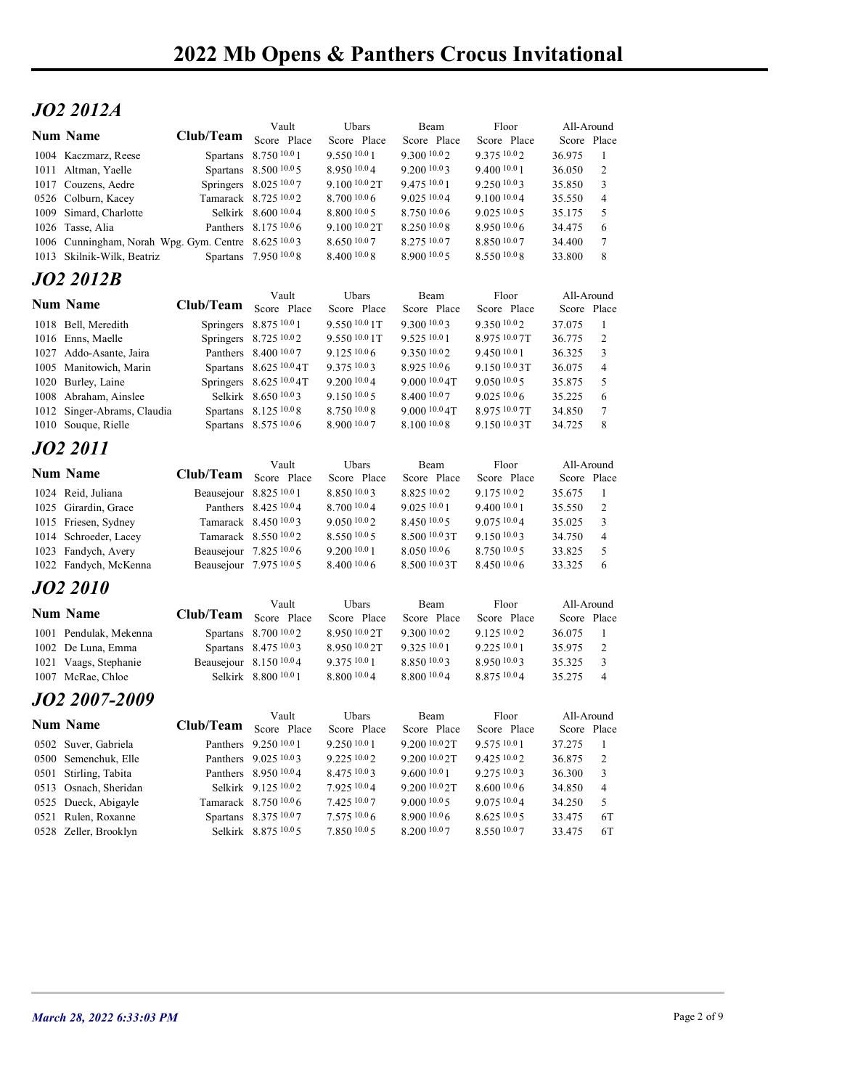## JO2 2012A

| <b>JO2 2012A</b>                                    |                       |                                                     |                               |                                |                               |                                                |    |
|-----------------------------------------------------|-----------------------|-----------------------------------------------------|-------------------------------|--------------------------------|-------------------------------|------------------------------------------------|----|
| <b>Num Name</b>                                     |                       | Vault                                               | Ubars                         | Beam                           | Floor                         | All-Around                                     |    |
| 1004 Kaczmarz, Reese                                | Club/Team Score Place | Spartans 8.750 10.0 1                               | Score Place<br>9.550 10.0 1   | Score Place<br>9.300 10.02     | Score Place<br>9.375 10.02    | Score Place<br>36.975<br>-1                    |    |
| 1011 Altman, Yaelle                                 |                       | Spartans 8.500 10.0 5                               | 8.950 10.04                   | 9.200 10.03                    | $9.400\;^{10.0}1$             | 2<br>36.050                                    |    |
| 1017 Couzens, Aedre                                 |                       | Springers 8.025 10.07                               | 9.100 10.0 2T                 | 9.475 10.0 1                   | 9.250 10.03                   | 3<br>35.850                                    |    |
| 0526 Colburn, Kacey<br>1009 Simard, Charlotte       |                       | Tamarack 8.725 10.02<br>Selkirk 8.600 10.04         | 8.700 10.0 6<br>8.800 10.0 5  | 9.025 10.04<br>8.750 10.06     | 9.100 10.04<br>9.025 10.0 5   | 35.550<br>$\overline{4}$<br>5<br>35.175        |    |
| 1026 Tasse, Alia                                    |                       | Panthers 8.175 10.0 6                               | 9.100 10.0 2T                 | 8.250 10.0 8                   | 8.950 10.06                   | 34.475<br>6                                    |    |
| 1006 Cunningham, Norah Wpg. Gym. Centre 8.625 10.03 |                       |                                                     | 8.650 10.07                   | 8.275 10.07                    | 8.850 10.07                   | 7<br>34.400                                    |    |
| 1013 Skilnik-Wilk, Beatriz                          |                       | Spartans 7.950 10.08                                | 8.400 10.0 8                  | 8.900 10.0 5                   | 8.550 10.08                   | 8<br>33.800                                    |    |
| JO2 2012B                                           |                       | Vault                                               | Ubars                         | Beam                           | Floor                         | All-Around                                     |    |
| <b>Num Name</b>                                     | Club/Team             | Score Place                                         | Score Place                   | Score Place                    | Score Place                   | Score Place                                    |    |
| 1018 Bell, Meredith                                 |                       | Springers 8.875 10.0 1                              | 9.550 10.0 1T                 | 9.300 10.03                    | 9.350 10.02<br>8.975 10.07T   | 37.075<br>-1                                   |    |
| 1016 Enns, Maelle<br>1027 Addo-Asante, Jaira        |                       | Springers 8.725 10.02<br>Panthers 8.400 10.07       | 9.550 10.0 1T<br>9.125 10.0 6 | 9.525 10.0 1<br>9.350 10.02    | 9.45010.01                    | 36.775<br>2<br>$\mathbf{3}$<br>36.325          |    |
| 1005 Manitowich, Marin                              |                       | Spartans 8.625 10.0 4T                              | 9.375 10.03                   | 8.925 10.06                    | 9.150 10.03T                  | 36.075<br>$\overline{4}$                       |    |
| 1020 Burley, Laine<br>1008 Abraham, Ainslee         |                       | Springers $8.625\,^{10.0}4T$<br>Selkirk 8.650 10.03 | 9.200 10.0 4<br>9.150 10.0 5  | 9.000 10.0 4T<br>8.400 10.07   | 9.050 10.05<br>$9.025\ 10.06$ | 35.875<br>5<br>35.225<br>6                     |    |
| 1012 Singer-Abrams, Claudia                         |                       | Spartans 8.125 10.0 8                               | 8.750 10.0 8                  | 9.000 10.0 4T                  | 8.975 10.0 7T                 | 34.850<br>$\tau$                               |    |
| 1010 Souque, Rielle                                 |                       | Spartans 8.575 10.0 6                               | 8.900 10.07                   | 8.100 10.0 8                   | 9.150 10.0 3T                 | 8<br>34.725                                    |    |
| JO2 2011                                            |                       |                                                     |                               |                                |                               |                                                |    |
| <b>Num Name</b>                                     | Club/Team Score Place | Vault                                               | Ubars<br>Score Place          | Beam<br>Score Place            | Floor<br>Score Place          | All-Around<br>Score Place                      |    |
| 1024 Reid, Juliana                                  |                       | Beausejour 8.825 10.0 1                             | 8.850 10.03                   | 8.825 10.02                    | 9.175 10.02                   | 35.675<br>$\mathbf{1}$                         |    |
| 1025 Girardin, Grace                                |                       | Panthers 8.425 10.0 4                               | 8.700 10.0 4                  | 9.025 10.0 1                   | 9.400 10.0 1                  | 35.550<br>2                                    |    |
| 1015 Friesen, Sydney<br>1014 Schroeder, Lacey       |                       | Tamarack 8.450 10.03<br>Tamarack 8.550 10.02        | 9.050 10.02<br>8.550 10.0 5   | 8.450 10.0 5<br>8.500 10.0 3T  | 9.075 10.04<br>9.150 10.03    | 3<br>35.025<br>34.750<br>4                     |    |
| 1023 Fandych, Avery                                 |                       | Beausejour 7.825 10.06                              | 9.200 10.0 1                  | 8.050 10.06                    | 8.750 10.05                   | 5<br>33.825                                    |    |
| 1022 Fandych, McKenna                               |                       | Beausejour 7.975 10.0 5                             | 8.400 10.0 6                  | 8.500 10.0 3T                  | 8.450 10.0 6                  | 33.325<br>6                                    |    |
| <b>JO2 2010</b>                                     |                       |                                                     |                               |                                |                               |                                                |    |
| <b>Num Name</b>                                     | Club/Team Score Place | Vault                                               | Ubars<br>Score Place          | Beam<br>Score Place            | Floor<br>Score Place          | All-Around<br>Score Place                      |    |
| 1001 Pendulak, Mekenna                              |                       | Spartans 8.700 10.02                                | 8.950 10.0 2T                 | 9.300 10.02                    | 9.125 10.02                   | 36.075<br>$\mathbf{1}$                         |    |
| 1002 De Luna, Emma                                  |                       | Spartans 8.475 10.03                                | 8.950 10.0 2T                 | 9.325 10.0 1                   | 9.225 10.0 1                  | 35.975<br>2                                    |    |
| 1021 Vaags, Stephanie<br>1007 McRae, Chloe          |                       | Beausejour 8.150 10.04<br>Selkirk 8.800 10.0 1      | 9.375 10.0 1<br>8.800 10.0 4  | 8.850 10.03<br>8.800 10.04     | $8.950\,10.03$<br>8.875 10.04 | 35.325<br>3<br>$\overline{4}$<br>35.275        |    |
|                                                     |                       |                                                     |                               |                                |                               |                                                |    |
| <i><b>JO2 2007-2009</b></i>                         |                       | Vault                                               | Ubars                         | Beam                           | Floor                         | All-Around                                     |    |
| <b>Num Name</b>                                     | Club/Team Score Place |                                                     | Score Place                   | Score Place                    | Score Place                   | Score Place                                    |    |
| 0502 Suver, Gabriela<br>0500 Semenchuk, Elle        |                       | Panthers 9.250 10.0 1<br>Panthers 9.025 10.03       | 9.250 10.0 1<br>9.22510.02    | 9.200 10.0 2T<br>9.200 10.0 2T | 9.575 10.0 1<br>9.425 10.02   | 37.275<br>$\mathbf{1}$<br>$\sqrt{2}$<br>36.875 |    |
| 0501 Stirling, Tabita                               |                       | Panthers 8.950 10.04                                | 8.475 10.03                   | 9.600 10.0 1                   | 9.275 10.03                   | 3<br>36.300                                    |    |
| 0513 Osnach, Sheridan                               |                       | Selkirk 9.125 10.02                                 | 7.925 10.04                   | 9.200 10.0 2T                  | 8.600 10.0 6                  | 34.850<br>4                                    |    |
| 0525 Dueck, Abigayle                                |                       | Tamarack 8.750 10.06<br>Spartans 8.375 10.07        | 7.425 10.0 7<br>7.575 10.0 6  | 9.000 10.0 5<br>8.900 10.06    | 9.075 10.04<br>8.625 10.0 5   | 34.250<br>5<br>33.475                          | 6T |
| 0521 Rulen, Roxanne                                 |                       |                                                     |                               |                                |                               |                                                |    |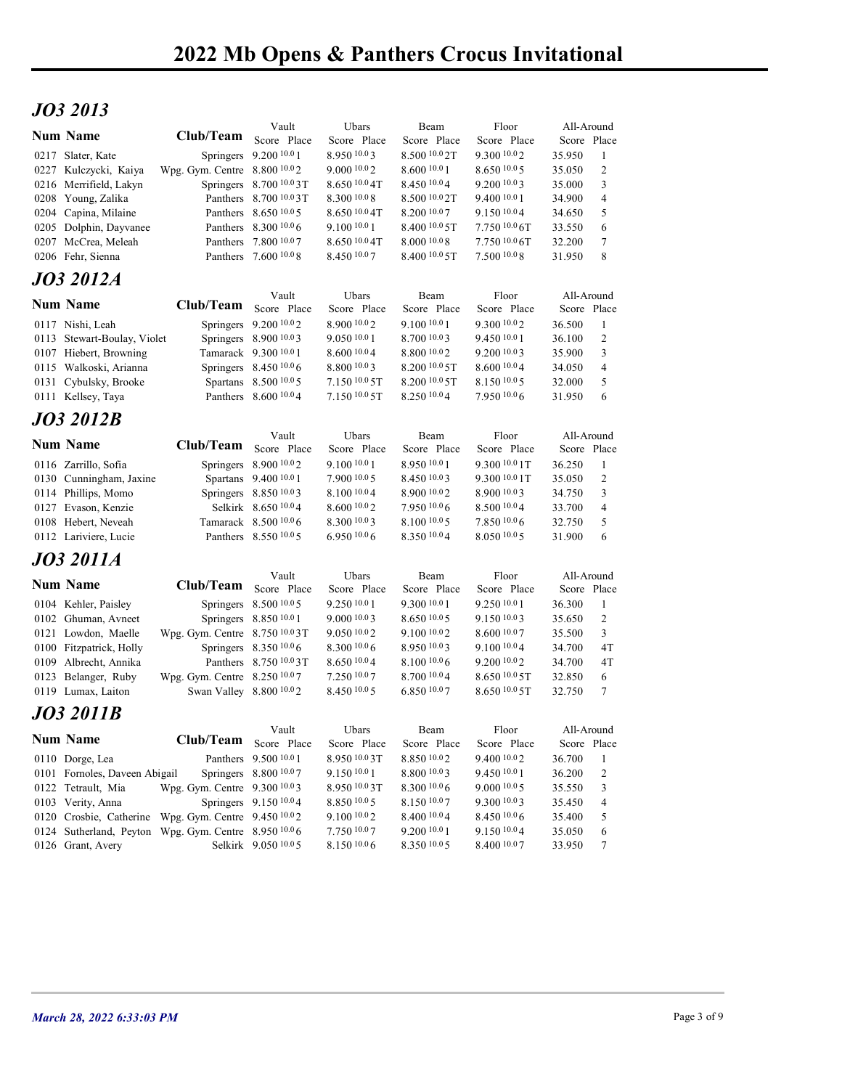## JO3 2013

|                 | JO3 2013                                              |                                                         |                                                 |                                  |                              |                              |                       |                     |  |
|-----------------|-------------------------------------------------------|---------------------------------------------------------|-------------------------------------------------|----------------------------------|------------------------------|------------------------------|-----------------------|---------------------|--|
| <b>Num Name</b> |                                                       | Club/Team Score Place                                   | Vault                                           | Ubars                            | Beam                         | Floor                        | All-Around            |                     |  |
|                 | 0217 Slater, Kate                                     |                                                         | Springers 9.200 10.0 1                          | Score Place<br>8.950 10.03       | Score Place<br>8.500 10.0 2T | Score Place<br>9.300 10.02   | Score Place<br>35.950 | - 1                 |  |
|                 | 0227 Kulczycki, Kaiya                                 | Wpg. Gym. Centre 8.800 10.02                            |                                                 | 9.000 10.0 2                     | 8.600 10.0 1                 | 8.65010005                   | 35.050                | 2                   |  |
|                 | 0216 Merrifield, Lakyn                                |                                                         | Springers 8.700 10.03T                          | $8.650\,10.04$ T                 | 8.450 10.04                  | 9.200 10.03                  | 35.000                | 3                   |  |
|                 | 0208 Young, Zalika<br>0204 Capina, Milaine            |                                                         | Panthers 8.700 10.0 3T<br>Panthers 8.650 10.0 5 | 8.300 10.0 8<br>$8.650\,10.04$ T | 8.500 10.0 2T<br>8.200 10.07 | 9.400 10.0 1<br>9.150 10.04  | 34.900<br>34.650      | $\overline{4}$<br>5 |  |
|                 | 0205 Dolphin, Dayvanee                                |                                                         | Panthers 8.300 10.0 6                           | 9.100 10.0 1                     | 8.400 10.0 5T                | $7.750\,10.06$ T             | 33.550                | 6                   |  |
|                 | 0207 McCrea, Meleah                                   |                                                         | Panthers 7.800 10.07                            | $8.650\,10.04$ T                 | 8.000 10.08                  | $7.750\,10.06$ T             | 32.200                | 7                   |  |
|                 | 0206 Fehr, Sienna                                     |                                                         | Panthers 7.600 10.0 8                           | 8.450 10.07                      | 8.400 10.0 5T                | 7.50010.08                   | 31.950                | 8                   |  |
|                 | JO3 2012A                                             |                                                         | Vault                                           | Ubars                            | Beam                         | Floor                        | All-Around            |                     |  |
| <b>Num Name</b> |                                                       | Club/Team                                               | Score Place                                     | Score Place                      | Score Place                  | Score Place                  | Score Place           |                     |  |
|                 | 0117 Nishi, Leah                                      |                                                         | Springers 9.200 10.02                           | 8.900 10.02                      | 9.100 10.0 1                 | 9.300 10.02                  | 36.500                | $\mathbf{1}$        |  |
|                 | 0113 Stewart-Boulay, Violet<br>0107 Hiebert, Browning |                                                         | Springers 8.900 10.03<br>Tamarack 9.300 10.0 1  | 9.050 10.0 1<br>8.6001004        | 8.700 10.03<br>8.800 10.02   | 9.450 10.0 1<br>9.200 10.03  | 36.100<br>35.900      | 2<br>3              |  |
|                 | 0115 Walkoski, Arianna                                |                                                         | Springers 8.450 10.0 6                          | 8.800 10.03                      | $8.200\,10.05$ T             | 8.600 10.04                  | 34.050                | $\overline{4}$      |  |
|                 | 0131 Cybulsky, Brooke                                 |                                                         | Spartans 8.500 10.0 5                           | 7.150 10.0 5T                    | 8.200 10.0 5T                | 8.150 10.05                  | 32.000                | 5                   |  |
|                 | 0111 Kellsey, Taya                                    |                                                         | Panthers 8.600 10.04                            | 7.150 10.0 5T                    | 8.250 10.04                  | 7.950 10.06                  | 31.950 6              |                     |  |
|                 | <b>JO3 2012B</b>                                      |                                                         | Vault                                           | Ubars                            | Beam                         | Floor                        | All-Around            |                     |  |
| <b>Num Name</b> |                                                       | Club/Team Score Place                                   |                                                 | Score Place                      | Score Place                  | Score Place                  | Score Place           |                     |  |
|                 | 0116 Zarrillo, Sofia                                  |                                                         | Springers 8.900 10.02                           | 9.100 10.0 1                     | 8.950 10.01                  | 9.300 10.0 1T                | 36.250                | $\mathbf{1}$        |  |
|                 | 0130 Cunningham, Jaxine<br>0114 Phillips, Momo        |                                                         | Spartans 9.400 10.0 1<br>Springers 8.850 10.03  | 7.900 10.0 5<br>8.100 10.0 4     | 8.450 10.03<br>8.900 10.02   | 9.300 10.0 1T<br>8.900 10.03 | 35.050<br>34.750      | 2<br>$\overline{3}$ |  |
|                 | 0127 Evason, Kenzie                                   |                                                         | Selkirk 8.650 10.04                             | 8.600 10.0 2                     | 7.950 10.06                  | 8.500 10.04                  | 33.700                | 4                   |  |
|                 | 0108 Hebert, Neveah                                   |                                                         | Tamarack 8.500 10.06                            | 8.300 10.03                      | 8.100 10.0 5                 | 7.850 10.06                  | 32.750                | 5                   |  |
|                 | 0112 Lariviere, Lucie                                 |                                                         | Panthers 8.550 10.0 5                           | 6.950 10.0 6                     | 8.350 10.04                  | 8.050 10.05                  | 31.900                | 6                   |  |
|                 | <b>JO3 2011A</b>                                      |                                                         | Vault                                           | Ubars                            | Beam                         | Floor                        | All-Around            |                     |  |
| <b>Num Name</b> |                                                       | <b>Club/Team</b>                                        | Score Place                                     | Score Place                      | Score Place                  | Score Place                  | Score Place           |                     |  |
|                 | 0104 Kehler, Paisley                                  |                                                         | Springers 8.500 10.0 5                          | 9.250 10.0 1                     | 9.300 10.0 1                 | 9.250 10.0 1                 | 36.300                | $\mathbf{1}$        |  |
|                 | 0102 Ghuman, Avneet                                   |                                                         | Springers 8.850 10.0 1                          | 9.000 10.03<br>9.050 10.02       | 8.650 10.0 5<br>9.100 10.02  | 9.150 10.03<br>8.600 10.07   | 35.650                | 2                   |  |
|                 | 0121 Lowdon, Maelle<br>0100 Fitzpatrick, Holly        | Wpg. Gym. Centre 8.750 10.03T                           | Springers 8.350 10.0 6                          | 8.300 10.0 6                     | 8.950 10.03                  | 9.100 10.04                  | 35.500<br>34.700      | $\mathbf{3}$<br>4T  |  |
|                 | 0109 Albrecht, Annika                                 |                                                         | Panthers 8.750 10.0 3T                          | $8.650\,10.04$                   | $8.100\,10.06$               | 9.200 10.0 2                 | 34.700                | 4T                  |  |
|                 | 0123 Belanger, Ruby                                   | Wpg. Gym. Centre 8.250 10.07<br>Swan Valley 8.800 10.02 |                                                 | 7.250 10.07<br>8.450 10.0 5      | 8.700 10.04                  | 8.650 10.0 5T                | 32.850                | 6                   |  |
|                 | 0119 Lumax, Laiton                                    |                                                         |                                                 |                                  | 6.850 10.07                  | 8.650 10.0 5T                | 32.750                | $7\phantom{.0}$     |  |
|                 | <b>JO3 2011B</b>                                      |                                                         | Vault                                           | Ubars                            | Beam                         | Floor                        | All-Around            |                     |  |
| <b>Num Name</b> |                                                       | Club/Team Score Place                                   |                                                 | Score Place                      | Score Place                  | Score Place                  | Score Place           |                     |  |
|                 | 0110 Dorge, Lea                                       |                                                         | Panthers 9.500 10.0 1                           | 8.950 10.0 3T                    | 8.850 10.02                  | 9.400 10.02                  | 36.700                | $\overline{1}$      |  |
|                 | 0101 Fornoles, Daveen Abigail<br>0122 Tetrault, Mia   | Wpg. Gym. Centre 9.300 10.03                            | Springers 8.800 10.07                           | 9.150 10.0 1<br>8.950 10.0 3T    | 8.800 10.03<br>8.300 10.0 6  | 9.450 10.0 1<br>9.000 10.0 5 | 36.200<br>35.550      | 2<br>3              |  |
|                 | 0103 Verity, Anna                                     |                                                         | Springers 9.150 10.04                           | 8.850 10.0 5                     | 8.150 10.07                  | 9.300 10.03                  | 35.450                | $\overline{4}$      |  |
|                 | 0120 Crosbie, Catherine Wpg. Gym. Centre 9.450 10.02  |                                                         |                                                 | 9.100 10.0 2                     | 8.400 10.04                  | 8.450 10.06                  | 35.400                | 5                   |  |
|                 | 0124 Sutherland, Peyton Wpg. Gym. Centre 8.950 10.06  |                                                         |                                                 | 7.750 10.07                      | 9.200 10.0 1                 | 9.150 10.04                  | 35.050                | 6                   |  |
|                 | 0126 Grant, Avery                                     |                                                         | Selkirk 9.050 10.05                             | 8.150 10.0 6                     | 8.350 10.05                  | 8.400 10.07                  | 33.950                | $\tau$              |  |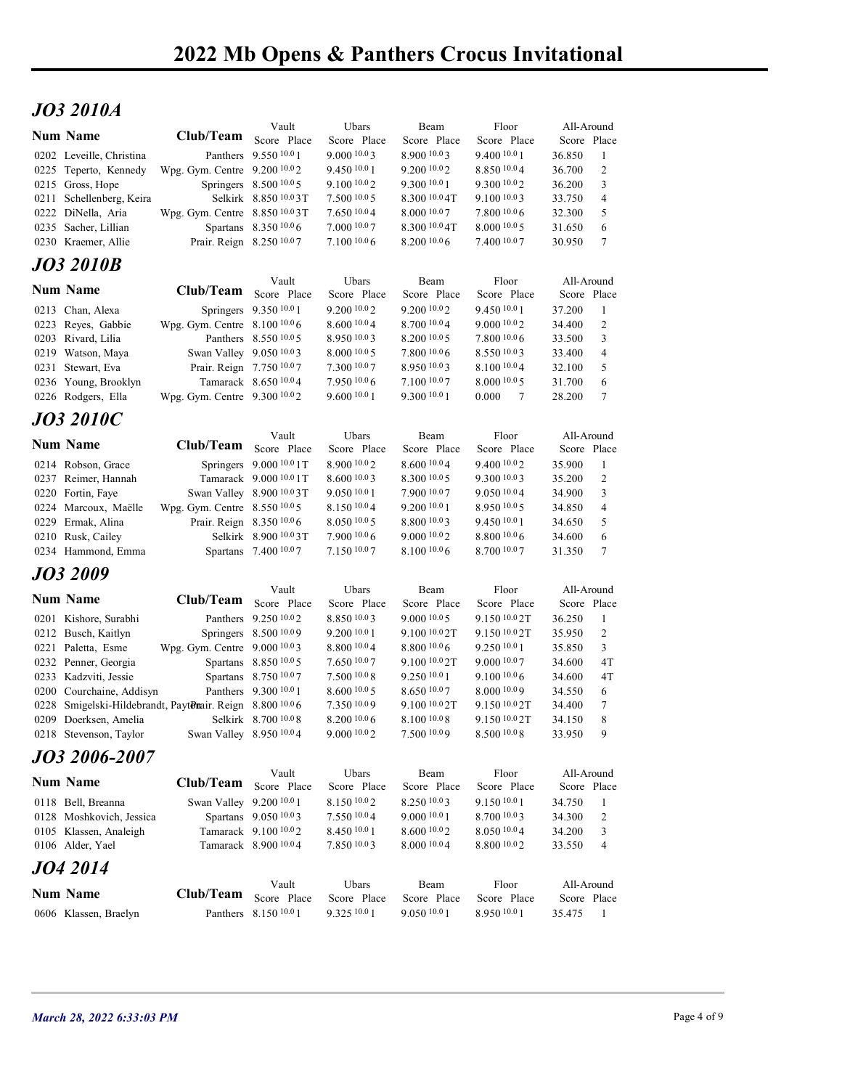## JO3 2010A

|                                                                                   | 2022 Mb Opens & Panthers Crocus Invitational |                                                   |                               |                                         |                                           |                           |                                |             |
|-----------------------------------------------------------------------------------|----------------------------------------------|---------------------------------------------------|-------------------------------|-----------------------------------------|-------------------------------------------|---------------------------|--------------------------------|-------------|
|                                                                                   |                                              |                                                   |                               |                                         |                                           |                           |                                |             |
| <b>JO3 2010A</b>                                                                  |                                              |                                                   |                               |                                         |                                           |                           |                                |             |
| <b>Num Name</b>                                                                   | Club/Team                                    | Vault<br>Score Place                              | Ubars<br>Score Place          | Beam<br>Score Place                     | Floor<br>Score Place                      | All-Around<br>Score Place |                                |             |
| 0202 Leveille, Christina                                                          |                                              | Panthers 9.550 10.0 1                             | 9.0001003                     | 8.900 10.03                             | 9.400 10.0 1                              | 36.850                    | -1                             |             |
| 0225 Teperto, Kennedy<br>0215 Gross, Hope                                         | Wpg. Gym. Centre 9.200 10.02                 | Springers 8.500 10.0 5                            | 9.450 10.0 1<br>9.100 10.02   | 9.200 10.0 2<br>9.300 10.0 1            | 8.850 10.04<br>9.300 10.02                | 36.700<br>36.200          | 2<br>3                         |             |
| 0211 Schellenberg, Keira                                                          |                                              | Selkirk 8.850 10.03T                              | 7.500 10.0 5                  | 8.300 10.0 4T                           | 9.100 10.03                               | 33.750                    | 4                              |             |
| 0222 DiNella, Aria                                                                | Wpg. Gym. Centre 8.850 10.03T                | Spartans 8.350 10.0 6                             | 7.650 10.04<br>7.00010.07     | 8.000 10.07<br>8.300 10.0 4T            | 7.800 10.06<br>8.00010005                 | 32.300                    | 5<br>6                         |             |
| 0235 Sacher, Lillian<br>0230 Kraemer, Allie                                       | Prair. Reign 8.250 10.07                     |                                                   | 7.100110.06                   | $8.200\,10.06$                          | 7.400 10.07                               | 31.650<br>30.950          | $\tau$                         |             |
| <b>JO3 2010B</b>                                                                  |                                              |                                                   |                               |                                         |                                           |                           |                                |             |
| <b>Num Name</b>                                                                   | Club/Team                                    | Vault                                             | Ubars                         | Beam                                    | Floor                                     | All-Around                |                                |             |
| 0213 Chan, Alexa                                                                  |                                              | Score Place<br>Springers 9.350 10.0 1             | Score Place<br>9.200 10.0 2   | Score Place<br>9.200 10.0 2             | Score Place<br>9.45010.01                 | Score Place<br>37.200     | -1                             |             |
| 0223 Reyes, Gabbie                                                                | Wpg. Gym. Centre 8.100 10.0 6                |                                                   | 8.600 10.0 4                  | 8.700 10.04                             | 9.000 10.02                               | 34.400                    | 2                              |             |
| 0203 Rivard, Lilia<br>0219 Watson, Maya                                           | Swan Valley 9.050 10.03                      | Panthers 8.550 10.0 5                             | 8.950 10.03<br>8.00010005     | 8.200 10.0 5<br>$7.800\;^{10.0}6$       | 7.800 10.06<br>8.550 10.03                | 33.500<br>33.400          | 3<br>$\overline{4}$            |             |
| 0231 Stewart, Eva                                                                 | Prair. Reign 7.750 10.07                     |                                                   | 7.300 10.07                   | 8.950 10.03                             | 8.100 10.04                               | 32.100                    | 5                              |             |
| 0236 Young, Brooklyn                                                              |                                              | Tamarack 8.650 10.04                              | 7.950 10.06<br>9.60010.01     | 7.100 10.07<br>9.300 10.0 1             | 8.000 10.0 5                              | 31.700                    | 6                              |             |
| 0226 Rodgers, Ella                                                                | Wpg. Gym. Centre 9.300 10.02                 |                                                   |                               |                                         | 0.000<br>$\overline{7}$                   | 28.200                    | $\overline{7}$                 |             |
| <b>JO3 2010C</b>                                                                  |                                              | Vault                                             | Ubars                         | Beam                                    | Floor                                     | All-Around                |                                |             |
| <b>Num Name</b>                                                                   | Club/Team Score Place                        |                                                   | Score Place                   | Score Place                             | Score Place                               | Score Place               |                                |             |
| 0214 Robson, Grace<br>0237 Reimer, Hannah                                         |                                              | Springers 9.000 10.0 1T<br>Tamarack 9.000 10.0 1T | 8.900 10.0 2<br>8.600 10.0 3  | 8.600 10.04<br>8.300 10.0 5             | 9.400 10.02<br>9.300 10.03                | 35.900<br>35.200          | - 1<br>2                       |             |
| 0220 Fortin, Faye                                                                 |                                              | Swan Valley 8.900 10.03T                          | 9.050 10.0 1                  | 7.900 10.07                             | 9.050 10.04                               | 34.900                    | 3                              |             |
| 0224 Marcoux, Maëlle                                                              | Wpg. Gym. Centre 8.550 10.0 5                |                                                   | 8.150 10.04                   | 9.200 10.0 1                            | 8.950 10.05                               | 34.850                    | $\overline{4}$                 |             |
| 0229 Ermak, Alina<br>0210 Rusk, Cailey                                            | Prair. Reign 8.350 10.0 6                    | Selkirk 8.900 10.03T                              | 8.050 10.0 5<br>7.900 10.0 6  | 8.800 10.03<br>9.000 10.02              | 9.450 10.0 1<br>8.800 10.06               | 34.650<br>34.600          | 5<br>6                         |             |
| 0234 Hammond, Emma                                                                |                                              | Spartans 7.400 10.07                              | 7.150 10.07                   | 8.100 10.0 6                            | 8.700 10.07                               | 31.350                    | $\overline{7}$                 |             |
| <b>JO3 2009</b>                                                                   |                                              |                                                   |                               |                                         |                                           |                           |                                |             |
| <b>Num Name</b>                                                                   | Club/Team Score Place                        | Vault                                             | Ubars<br>Score Place          | Beam<br>Score Place                     | Floor                                     | All-Around<br>Score Place |                                |             |
| 0201 Kishore, Surabhi                                                             |                                              | Panthers 9.250 10.02                              | 8.85010.03                    | 9.00010005                              | Score Place<br>9.150 10.0 2T              | 36.250                    | -1                             |             |
| 0212 Busch, Kaitlyn                                                               |                                              | Springers 8.500 10.09                             | 9.200 10.0 1                  | 9.100 10.0 2T                           | 9.150 10.0 2T                             | 35.950                    | 2                              |             |
| 0221 Paletta, Esme<br>0232 Penner, Georgia                                        | Wpg. Gym. Centre 9.000 10.03                 | Spartans 8.850 10.0 5                             | 8.800 10.04<br>7.650 10.07    | 8.800 10.06<br>9.100 <sup>10.0</sup> 2T | 9.250 10.0 1<br>$9.000\,10.07$            | 35.850<br>34.600          | 3<br>4T                        |             |
| 0233 Kadzviti, Jessie                                                             |                                              | Spartans 8.750 10.07                              | 7.500 10.0 8                  | 9.250 10.0 1                            | 9.100 10.0 6                              | 34.600                    | 4T                             |             |
| 0200 Courchaine, Addisyn                                                          |                                              | Panthers 9.300 10.0 1                             | 8.60010005                    | 8.650 10.07                             | 8.000 10.09                               | 34.550                    | 6                              |             |
| 0228 Smigelski-Hildebrandt, PaytDnair. Reign 8.800 10.06<br>0209 Doerksen, Amelia |                                              | Selkirk 8.700 10.0 8                              | 7.350 10.09<br>$8.200\,10.06$ | 9.100 10.0 2T<br>$8.100\ ^{10.0}8$      | 9.150 10.0 2T<br>9.150 <sup>10.0</sup> 2T | 34.400<br>34.150          | 7<br>8                         |             |
| 0218 Stevenson, Taylor                                                            | Swan Valley 8.950 10.04                      |                                                   | 9.000 10.0 2                  | 7.500 10.09                             | 8.500 10.08                               | 33.950                    | 9                              |             |
| JO3 2006-2007                                                                     |                                              |                                                   |                               |                                         |                                           |                           |                                |             |
| Num Name                                                                          | Club/Team Score Place                        | Vault                                             | Ubars<br>Score Place          | Beam<br>Score Place                     | Floor<br>Score Place                      | All-Around<br>Score Place |                                |             |
| 0118 Bell, Breanna                                                                | Swan Valley 9.200 10.0 1                     |                                                   | 8.150 10.02                   | 8.250 10.03                             | 9.150 10.0 1                              | 34.750                    | $\mathbf{1}$                   |             |
| 0128 Moshkovich, Jessica                                                          |                                              | Spartans 9.050 10.03                              | 7.550 10.0 4                  | 9.000 10.0 1                            | 8.700 10.03                               | 34.300                    | 2                              |             |
| 0105 Klassen, Analeigh<br>0106 Alder, Yael                                        |                                              | Tamarack 9.100 10.02<br>Tamarack 8.900 10.04      | 8.450 10.0 1<br>7.850 10.03   | 8.600 10.02<br>8.000 10.04              | 8.050 10.04<br>8.800 10.02                | 34.200<br>33.550          | $\mathbf{3}$<br>$\overline{4}$ |             |
| JO4 2014                                                                          |                                              |                                                   |                               |                                         |                                           |                           |                                |             |
|                                                                                   |                                              | Vault                                             | Ubars                         | Beam                                    | Floor                                     | All-Around                |                                |             |
| <b>Num Name</b>                                                                   | Club/Team Score Place                        |                                                   | Score Place                   | Score Place                             | Score Place                               | Score Place               |                                |             |
| 0606 Klassen, Braelyn                                                             |                                              | Panthers 8.150 10.0 1                             | 9.325 10.0 1                  | 9.050 10.01                             | 8.950 10.0 1                              | 35.475 1                  |                                |             |
|                                                                                   |                                              |                                                   |                               |                                         |                                           |                           |                                |             |
| March 28, 2022 6:33:03 PM                                                         |                                              |                                                   |                               |                                         |                                           |                           |                                | Page 4 of 9 |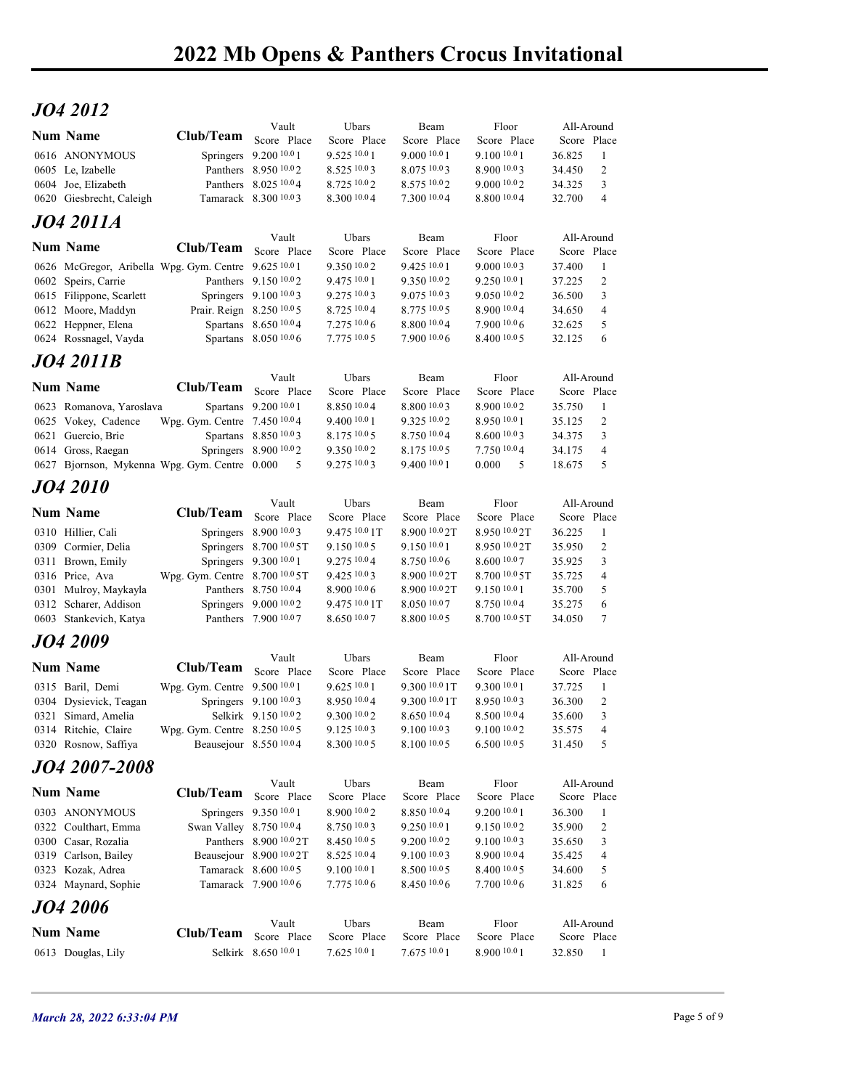## JO4 2012

| 2022 Mb Opens & Panthers Crocus Invitational<br>JO4 2012<br>Floor<br>Vault<br>Ubars<br>Beam<br>All-Around<br><b>Num Name</b><br>Club/Team Score Place<br>Score Place<br>Score Place<br>Score Place<br>Score Place<br>Springers 9.200 10.0 1<br>9.525 10.0 1<br>9.000 10.0 1<br>9.100 10.0 1<br>0616 ANONYMOUS<br>36.825<br>- 1<br>Panthers 8.950 10.02<br>8.52510.03<br>8.075 10.03<br>8.900 10.03<br>34.450<br>2<br>Panthers 8.025 10.04<br>8.725 10.02<br>8.575 10.02<br>9.000 10.02<br>34.325<br>3<br>8.800 10.04<br>Tamarack 8.300 10.03<br>8.300 10.0 4<br>7.300 10.04<br>32.700<br>0620 Giesbrecht, Caleigh<br>$\overline{4}$<br>JO4 2011A<br>Ubars<br>Beam<br>Floor<br>All-Around<br>Vault<br>Club/Team<br>Score Place<br>Score Place<br>Score Place<br>Score Place<br>Score Place<br>9.425 10.0 1<br>9.0001003<br>0626 McGregor, Aribella Wpg. Gym. Centre 9.625 10.01<br>9.350 10.0 2<br>37.400<br>-1<br>Panthers 9.150 10.02<br>9.475 10.0 1<br>9.350 10.02<br>9.250 10.01<br>37.225<br>2<br>Springers 9.100 10.03<br>9.275 10.03<br>9.075 10.03<br>9.050 10.02<br>36.500<br>3<br>0612 Moore, Maddyn<br>Prair. Reign 8.250 10.0 5<br>8.725 10.04<br>8.775 10.0 5<br>8.900 10.04<br>$\overline{4}$<br>34.650<br>Spartans 8.650 10.04<br>7.27510.06<br>8.800 10.04<br>7.900 10.06<br>5<br>0622 Heppner, Elena<br>32.625<br>8.400 10.0 5<br>Spartans 8.050 10.0 6<br>7.775 10.0 5<br>7.900 10.06<br>32.125<br>6<br>Vault<br>Ubars<br>Beam<br>Floor<br>All-Around<br>Club/Team<br>Score Place<br>Score Place<br>Score Place<br>Score Place<br>Score Place<br>Spartans 9.200 10.0 1<br>8.850 10.04<br>8.800 10.03<br>8.900 10.02<br>35.750<br>0623 Romanova, Yaroslava<br>- 1<br>Wpg. Gym. Centre 7.450 10.04<br>9.400 10.0 1<br>9.325 10.02<br>8.950 10.01<br>35.125<br>2<br>Spartans 8.850 10.03<br>8.175 10.0 5<br>8.750 10.04<br>8.600 10.03<br>$\overline{3}$<br>0621 Guercio, Brie<br>34.375<br>Springers 8.900 10.02<br>9.350 10.02<br>8.175 10.0 5<br>7.750 10.04<br>34.175<br>$\overline{4}$<br>9.275 10.03<br>9.400 10.0 1<br>$5\overline{)}$<br>0627 Bjornson, Mykenna Wpg. Gym. Centre 0.000 5<br>0.000 5<br>18.675<br>Vault<br>Ubars<br>Floor<br>All-Around<br>Beam<br>Club/Team<br>Score Place<br>Score Place<br>Score Place<br>Score Place<br>Score Place<br>Springers 8.900 10.03<br>9.475 10.0 1T<br>8.900 10.0 2T<br>8.950 10.0 2T<br>36.225<br>-1<br>Springers 8.700 10.0 5T<br>9.150 10.0 5<br>2<br>9.150 10.0 1<br>8.950 10.0 2T<br>35.950<br>Springers 9.300 10.0 1<br>9.275 10.04<br>8.750 10.06<br>8.600 10.07<br>35.925<br>$\mathbf{3}$<br>0311 Brown, Emily<br>Wpg. Gym. Centre 8.700 10.0 5T<br>9.425 10.03<br>8.900 10.0 2T<br>8.700 10.0 5T<br>35.725<br>$\overline{4}$<br>Panthers 8.750 10.04<br>8.900 10.0 6<br>9.150 10.0 1<br>35.700<br>5<br>8.900 10.0 2T<br>Springers 9.000 10.02<br>9.475 10.0 1T<br>8.050 10.07<br>8.750 10.04<br>35.275<br>0312 Scharer, Addison<br>6<br>Panthers 7.900 10.07<br>8.650 10.07<br>8.800 10.0 5<br>8.700 10.0 5T<br>34.050<br>7<br><b>JO4 2009</b><br>Ubars<br>Floor<br>All-Around<br>Vault<br>Beam<br><b>Num Name</b><br>Club/Team<br>Score Place<br>Score Place<br>Score Place<br>Score Place<br>Score Place<br>9.62510.01<br>0315 Baril, Demi<br>Wpg. Gym. Centre 9.500 <sup>10.0</sup> 1<br>9.300 <sup>10.0</sup> 1T<br>9.300 10.0 1<br>37.725<br>- 1<br>Springers 9.100 10.03<br>8.950 10.04<br>9.300 10.0 1T<br>8.950 10.03<br>36.300<br>2<br>Selkirk 9.150 <sup>10.0</sup> 2<br>$9.300\,10.02$<br>$8.650\,10.04$<br>8.500 10.04<br>$\mathbf{3}$<br>35.600<br>Wpg. Gym. Centre 8.250 10.05<br>9.100 10.03<br>9.100 10.02<br>0314 Ritchie, Claire<br>$9.125\,10.03$<br>35.575<br>$\overline{4}$<br>8.300 10.0 5<br>8.100 10.0 5<br>6.500 10.0 5<br>5<br>Beausejour 8.550 10.04<br>31.450<br>Vault<br>Ubars<br>Beam<br>Floor<br>All-Around<br><b>Num Name</b><br>Club/Team<br>Score Place<br>Score Place<br>Score Place<br>Score Place<br>Score Place<br>Springers 9.350 10.0 1<br>8.900 10.0 2<br>8.850 10.04<br>9.200 10.0 1<br>36.300<br>-1<br>Swan Valley 8.750 10.04<br>8.750 10.03<br>9.150 10.02<br>2<br>9.250 10.0 1<br>35.900<br>Panthers 8.900 10.0 2T<br>8.450 10.0 5<br>9.200 10.02<br>9.100 10.03<br>35.650<br>3<br>Beausejour 8.900 10.0 2T<br>8.525 10.04<br>9.100 10.03<br>8.900 10.04<br>35.425<br>$\overline{4}$<br>Tamarack 8.600 10.0 5<br>9.100 10.0 1<br>8.500 10.0 5<br>8.400 10.0 5<br>34.600<br>5<br>7.775 10.0 6<br>8.450 10.06<br>7.700 10.06<br>31.825<br>Tamarack 7.900 10.06<br>6<br>Vault<br>Ubars<br>Beam<br>Floor<br>All-Around<br>Club/Team<br>Score Place<br>Score Place<br>Score Place<br>Score Place<br>Score Place |                                             |                      |              |              |              |        |                |  |
|---------------------------------------------------------------------------------------------------------------------------------------------------------------------------------------------------------------------------------------------------------------------------------------------------------------------------------------------------------------------------------------------------------------------------------------------------------------------------------------------------------------------------------------------------------------------------------------------------------------------------------------------------------------------------------------------------------------------------------------------------------------------------------------------------------------------------------------------------------------------------------------------------------------------------------------------------------------------------------------------------------------------------------------------------------------------------------------------------------------------------------------------------------------------------------------------------------------------------------------------------------------------------------------------------------------------------------------------------------------------------------------------------------------------------------------------------------------------------------------------------------------------------------------------------------------------------------------------------------------------------------------------------------------------------------------------------------------------------------------------------------------------------------------------------------------------------------------------------------------------------------------------------------------------------------------------------------------------------------------------------------------------------------------------------------------------------------------------------------------------------------------------------------------------------------------------------------------------------------------------------------------------------------------------------------------------------------------------------------------------------------------------------------------------------------------------------------------------------------------------------------------------------------------------------------------------------------------------------------------------------------------------------------------------------------------------------------------------------------------------------------------------------------------------------------------------------------------------------------------------------------------------------------------------------------------------------------------------------------------------------------------------------------------------------------------------------------------------------------------------------------------------------------------------------------------------------------------------------------------------------------------------------------------------------------------------------------------------------------------------------------------------------------------------------------------------------------------------------------------------------------------------------------------------------------------------------------------------------------------------------------------------------------------------------------------------------------------------------------------------------------------------------------------------------------------------------------------------------------------------------------------------------------------------------------------------------------------------------------------------------------------------------------------------------------------------------------------------------------------------------------------------------------------------------------------------------------------------------------------------------------------------------------------------------------------------------------------------------------------------------------------------------------------------------------------------------------------------------------------------------------------------------------------------------------------------------------------------------------------------------------------|---------------------------------------------|----------------------|--------------|--------------|--------------|--------|----------------|--|
|                                                                                                                                                                                                                                                                                                                                                                                                                                                                                                                                                                                                                                                                                                                                                                                                                                                                                                                                                                                                                                                                                                                                                                                                                                                                                                                                                                                                                                                                                                                                                                                                                                                                                                                                                                                                                                                                                                                                                                                                                                                                                                                                                                                                                                                                                                                                                                                                                                                                                                                                                                                                                                                                                                                                                                                                                                                                                                                                                                                                                                                                                                                                                                                                                                                                                                                                                                                                                                                                                                                                                                                                                                                                                                                                                                                                                                                                                                                                                                                                                                                                                                                                                                                                                                                                                                                                                                                                                                                                                                                                                                                                                                       |                                             |                      |              |              |              |        |                |  |
|                                                                                                                                                                                                                                                                                                                                                                                                                                                                                                                                                                                                                                                                                                                                                                                                                                                                                                                                                                                                                                                                                                                                                                                                                                                                                                                                                                                                                                                                                                                                                                                                                                                                                                                                                                                                                                                                                                                                                                                                                                                                                                                                                                                                                                                                                                                                                                                                                                                                                                                                                                                                                                                                                                                                                                                                                                                                                                                                                                                                                                                                                                                                                                                                                                                                                                                                                                                                                                                                                                                                                                                                                                                                                                                                                                                                                                                                                                                                                                                                                                                                                                                                                                                                                                                                                                                                                                                                                                                                                                                                                                                                                                       |                                             |                      |              |              |              |        |                |  |
|                                                                                                                                                                                                                                                                                                                                                                                                                                                                                                                                                                                                                                                                                                                                                                                                                                                                                                                                                                                                                                                                                                                                                                                                                                                                                                                                                                                                                                                                                                                                                                                                                                                                                                                                                                                                                                                                                                                                                                                                                                                                                                                                                                                                                                                                                                                                                                                                                                                                                                                                                                                                                                                                                                                                                                                                                                                                                                                                                                                                                                                                                                                                                                                                                                                                                                                                                                                                                                                                                                                                                                                                                                                                                                                                                                                                                                                                                                                                                                                                                                                                                                                                                                                                                                                                                                                                                                                                                                                                                                                                                                                                                                       |                                             |                      |              |              |              |        |                |  |
|                                                                                                                                                                                                                                                                                                                                                                                                                                                                                                                                                                                                                                                                                                                                                                                                                                                                                                                                                                                                                                                                                                                                                                                                                                                                                                                                                                                                                                                                                                                                                                                                                                                                                                                                                                                                                                                                                                                                                                                                                                                                                                                                                                                                                                                                                                                                                                                                                                                                                                                                                                                                                                                                                                                                                                                                                                                                                                                                                                                                                                                                                                                                                                                                                                                                                                                                                                                                                                                                                                                                                                                                                                                                                                                                                                                                                                                                                                                                                                                                                                                                                                                                                                                                                                                                                                                                                                                                                                                                                                                                                                                                                                       |                                             |                      |              |              |              |        |                |  |
|                                                                                                                                                                                                                                                                                                                                                                                                                                                                                                                                                                                                                                                                                                                                                                                                                                                                                                                                                                                                                                                                                                                                                                                                                                                                                                                                                                                                                                                                                                                                                                                                                                                                                                                                                                                                                                                                                                                                                                                                                                                                                                                                                                                                                                                                                                                                                                                                                                                                                                                                                                                                                                                                                                                                                                                                                                                                                                                                                                                                                                                                                                                                                                                                                                                                                                                                                                                                                                                                                                                                                                                                                                                                                                                                                                                                                                                                                                                                                                                                                                                                                                                                                                                                                                                                                                                                                                                                                                                                                                                                                                                                                                       |                                             |                      |              |              |              |        |                |  |
|                                                                                                                                                                                                                                                                                                                                                                                                                                                                                                                                                                                                                                                                                                                                                                                                                                                                                                                                                                                                                                                                                                                                                                                                                                                                                                                                                                                                                                                                                                                                                                                                                                                                                                                                                                                                                                                                                                                                                                                                                                                                                                                                                                                                                                                                                                                                                                                                                                                                                                                                                                                                                                                                                                                                                                                                                                                                                                                                                                                                                                                                                                                                                                                                                                                                                                                                                                                                                                                                                                                                                                                                                                                                                                                                                                                                                                                                                                                                                                                                                                                                                                                                                                                                                                                                                                                                                                                                                                                                                                                                                                                                                                       |                                             |                      |              |              |              |        |                |  |
|                                                                                                                                                                                                                                                                                                                                                                                                                                                                                                                                                                                                                                                                                                                                                                                                                                                                                                                                                                                                                                                                                                                                                                                                                                                                                                                                                                                                                                                                                                                                                                                                                                                                                                                                                                                                                                                                                                                                                                                                                                                                                                                                                                                                                                                                                                                                                                                                                                                                                                                                                                                                                                                                                                                                                                                                                                                                                                                                                                                                                                                                                                                                                                                                                                                                                                                                                                                                                                                                                                                                                                                                                                                                                                                                                                                                                                                                                                                                                                                                                                                                                                                                                                                                                                                                                                                                                                                                                                                                                                                                                                                                                                       |                                             |                      |              |              |              |        |                |  |
|                                                                                                                                                                                                                                                                                                                                                                                                                                                                                                                                                                                                                                                                                                                                                                                                                                                                                                                                                                                                                                                                                                                                                                                                                                                                                                                                                                                                                                                                                                                                                                                                                                                                                                                                                                                                                                                                                                                                                                                                                                                                                                                                                                                                                                                                                                                                                                                                                                                                                                                                                                                                                                                                                                                                                                                                                                                                                                                                                                                                                                                                                                                                                                                                                                                                                                                                                                                                                                                                                                                                                                                                                                                                                                                                                                                                                                                                                                                                                                                                                                                                                                                                                                                                                                                                                                                                                                                                                                                                                                                                                                                                                                       |                                             |                      |              |              |              |        |                |  |
|                                                                                                                                                                                                                                                                                                                                                                                                                                                                                                                                                                                                                                                                                                                                                                                                                                                                                                                                                                                                                                                                                                                                                                                                                                                                                                                                                                                                                                                                                                                                                                                                                                                                                                                                                                                                                                                                                                                                                                                                                                                                                                                                                                                                                                                                                                                                                                                                                                                                                                                                                                                                                                                                                                                                                                                                                                                                                                                                                                                                                                                                                                                                                                                                                                                                                                                                                                                                                                                                                                                                                                                                                                                                                                                                                                                                                                                                                                                                                                                                                                                                                                                                                                                                                                                                                                                                                                                                                                                                                                                                                                                                                                       |                                             |                      |              |              |              |        |                |  |
|                                                                                                                                                                                                                                                                                                                                                                                                                                                                                                                                                                                                                                                                                                                                                                                                                                                                                                                                                                                                                                                                                                                                                                                                                                                                                                                                                                                                                                                                                                                                                                                                                                                                                                                                                                                                                                                                                                                                                                                                                                                                                                                                                                                                                                                                                                                                                                                                                                                                                                                                                                                                                                                                                                                                                                                                                                                                                                                                                                                                                                                                                                                                                                                                                                                                                                                                                                                                                                                                                                                                                                                                                                                                                                                                                                                                                                                                                                                                                                                                                                                                                                                                                                                                                                                                                                                                                                                                                                                                                                                                                                                                                                       | 0605 Le, Izabelle                           |                      |              |              |              |        |                |  |
|                                                                                                                                                                                                                                                                                                                                                                                                                                                                                                                                                                                                                                                                                                                                                                                                                                                                                                                                                                                                                                                                                                                                                                                                                                                                                                                                                                                                                                                                                                                                                                                                                                                                                                                                                                                                                                                                                                                                                                                                                                                                                                                                                                                                                                                                                                                                                                                                                                                                                                                                                                                                                                                                                                                                                                                                                                                                                                                                                                                                                                                                                                                                                                                                                                                                                                                                                                                                                                                                                                                                                                                                                                                                                                                                                                                                                                                                                                                                                                                                                                                                                                                                                                                                                                                                                                                                                                                                                                                                                                                                                                                                                                       | 0604 Joe, Elizabeth                         |                      |              |              |              |        |                |  |
|                                                                                                                                                                                                                                                                                                                                                                                                                                                                                                                                                                                                                                                                                                                                                                                                                                                                                                                                                                                                                                                                                                                                                                                                                                                                                                                                                                                                                                                                                                                                                                                                                                                                                                                                                                                                                                                                                                                                                                                                                                                                                                                                                                                                                                                                                                                                                                                                                                                                                                                                                                                                                                                                                                                                                                                                                                                                                                                                                                                                                                                                                                                                                                                                                                                                                                                                                                                                                                                                                                                                                                                                                                                                                                                                                                                                                                                                                                                                                                                                                                                                                                                                                                                                                                                                                                                                                                                                                                                                                                                                                                                                                                       |                                             |                      |              |              |              |        |                |  |
|                                                                                                                                                                                                                                                                                                                                                                                                                                                                                                                                                                                                                                                                                                                                                                                                                                                                                                                                                                                                                                                                                                                                                                                                                                                                                                                                                                                                                                                                                                                                                                                                                                                                                                                                                                                                                                                                                                                                                                                                                                                                                                                                                                                                                                                                                                                                                                                                                                                                                                                                                                                                                                                                                                                                                                                                                                                                                                                                                                                                                                                                                                                                                                                                                                                                                                                                                                                                                                                                                                                                                                                                                                                                                                                                                                                                                                                                                                                                                                                                                                                                                                                                                                                                                                                                                                                                                                                                                                                                                                                                                                                                                                       |                                             |                      |              |              |              |        |                |  |
|                                                                                                                                                                                                                                                                                                                                                                                                                                                                                                                                                                                                                                                                                                                                                                                                                                                                                                                                                                                                                                                                                                                                                                                                                                                                                                                                                                                                                                                                                                                                                                                                                                                                                                                                                                                                                                                                                                                                                                                                                                                                                                                                                                                                                                                                                                                                                                                                                                                                                                                                                                                                                                                                                                                                                                                                                                                                                                                                                                                                                                                                                                                                                                                                                                                                                                                                                                                                                                                                                                                                                                                                                                                                                                                                                                                                                                                                                                                                                                                                                                                                                                                                                                                                                                                                                                                                                                                                                                                                                                                                                                                                                                       | Num Name                                    |                      |              |              |              |        |                |  |
|                                                                                                                                                                                                                                                                                                                                                                                                                                                                                                                                                                                                                                                                                                                                                                                                                                                                                                                                                                                                                                                                                                                                                                                                                                                                                                                                                                                                                                                                                                                                                                                                                                                                                                                                                                                                                                                                                                                                                                                                                                                                                                                                                                                                                                                                                                                                                                                                                                                                                                                                                                                                                                                                                                                                                                                                                                                                                                                                                                                                                                                                                                                                                                                                                                                                                                                                                                                                                                                                                                                                                                                                                                                                                                                                                                                                                                                                                                                                                                                                                                                                                                                                                                                                                                                                                                                                                                                                                                                                                                                                                                                                                                       | 0602 Speirs, Carrie                         |                      |              |              |              |        |                |  |
|                                                                                                                                                                                                                                                                                                                                                                                                                                                                                                                                                                                                                                                                                                                                                                                                                                                                                                                                                                                                                                                                                                                                                                                                                                                                                                                                                                                                                                                                                                                                                                                                                                                                                                                                                                                                                                                                                                                                                                                                                                                                                                                                                                                                                                                                                                                                                                                                                                                                                                                                                                                                                                                                                                                                                                                                                                                                                                                                                                                                                                                                                                                                                                                                                                                                                                                                                                                                                                                                                                                                                                                                                                                                                                                                                                                                                                                                                                                                                                                                                                                                                                                                                                                                                                                                                                                                                                                                                                                                                                                                                                                                                                       | 0615 Filippone, Scarlett                    |                      |              |              |              |        |                |  |
|                                                                                                                                                                                                                                                                                                                                                                                                                                                                                                                                                                                                                                                                                                                                                                                                                                                                                                                                                                                                                                                                                                                                                                                                                                                                                                                                                                                                                                                                                                                                                                                                                                                                                                                                                                                                                                                                                                                                                                                                                                                                                                                                                                                                                                                                                                                                                                                                                                                                                                                                                                                                                                                                                                                                                                                                                                                                                                                                                                                                                                                                                                                                                                                                                                                                                                                                                                                                                                                                                                                                                                                                                                                                                                                                                                                                                                                                                                                                                                                                                                                                                                                                                                                                                                                                                                                                                                                                                                                                                                                                                                                                                                       |                                             |                      |              |              |              |        |                |  |
|                                                                                                                                                                                                                                                                                                                                                                                                                                                                                                                                                                                                                                                                                                                                                                                                                                                                                                                                                                                                                                                                                                                                                                                                                                                                                                                                                                                                                                                                                                                                                                                                                                                                                                                                                                                                                                                                                                                                                                                                                                                                                                                                                                                                                                                                                                                                                                                                                                                                                                                                                                                                                                                                                                                                                                                                                                                                                                                                                                                                                                                                                                                                                                                                                                                                                                                                                                                                                                                                                                                                                                                                                                                                                                                                                                                                                                                                                                                                                                                                                                                                                                                                                                                                                                                                                                                                                                                                                                                                                                                                                                                                                                       | 0624 Rossnagel, Vayda                       |                      |              |              |              |        |                |  |
|                                                                                                                                                                                                                                                                                                                                                                                                                                                                                                                                                                                                                                                                                                                                                                                                                                                                                                                                                                                                                                                                                                                                                                                                                                                                                                                                                                                                                                                                                                                                                                                                                                                                                                                                                                                                                                                                                                                                                                                                                                                                                                                                                                                                                                                                                                                                                                                                                                                                                                                                                                                                                                                                                                                                                                                                                                                                                                                                                                                                                                                                                                                                                                                                                                                                                                                                                                                                                                                                                                                                                                                                                                                                                                                                                                                                                                                                                                                                                                                                                                                                                                                                                                                                                                                                                                                                                                                                                                                                                                                                                                                                                                       | <b>JO4 2011B</b>                            |                      |              |              |              |        |                |  |
|                                                                                                                                                                                                                                                                                                                                                                                                                                                                                                                                                                                                                                                                                                                                                                                                                                                                                                                                                                                                                                                                                                                                                                                                                                                                                                                                                                                                                                                                                                                                                                                                                                                                                                                                                                                                                                                                                                                                                                                                                                                                                                                                                                                                                                                                                                                                                                                                                                                                                                                                                                                                                                                                                                                                                                                                                                                                                                                                                                                                                                                                                                                                                                                                                                                                                                                                                                                                                                                                                                                                                                                                                                                                                                                                                                                                                                                                                                                                                                                                                                                                                                                                                                                                                                                                                                                                                                                                                                                                                                                                                                                                                                       | <b>Num Name</b>                             |                      |              |              |              |        |                |  |
|                                                                                                                                                                                                                                                                                                                                                                                                                                                                                                                                                                                                                                                                                                                                                                                                                                                                                                                                                                                                                                                                                                                                                                                                                                                                                                                                                                                                                                                                                                                                                                                                                                                                                                                                                                                                                                                                                                                                                                                                                                                                                                                                                                                                                                                                                                                                                                                                                                                                                                                                                                                                                                                                                                                                                                                                                                                                                                                                                                                                                                                                                                                                                                                                                                                                                                                                                                                                                                                                                                                                                                                                                                                                                                                                                                                                                                                                                                                                                                                                                                                                                                                                                                                                                                                                                                                                                                                                                                                                                                                                                                                                                                       |                                             |                      |              |              |              |        |                |  |
|                                                                                                                                                                                                                                                                                                                                                                                                                                                                                                                                                                                                                                                                                                                                                                                                                                                                                                                                                                                                                                                                                                                                                                                                                                                                                                                                                                                                                                                                                                                                                                                                                                                                                                                                                                                                                                                                                                                                                                                                                                                                                                                                                                                                                                                                                                                                                                                                                                                                                                                                                                                                                                                                                                                                                                                                                                                                                                                                                                                                                                                                                                                                                                                                                                                                                                                                                                                                                                                                                                                                                                                                                                                                                                                                                                                                                                                                                                                                                                                                                                                                                                                                                                                                                                                                                                                                                                                                                                                                                                                                                                                                                                       | 0625 Vokey, Cadence                         |                      |              |              |              |        |                |  |
|                                                                                                                                                                                                                                                                                                                                                                                                                                                                                                                                                                                                                                                                                                                                                                                                                                                                                                                                                                                                                                                                                                                                                                                                                                                                                                                                                                                                                                                                                                                                                                                                                                                                                                                                                                                                                                                                                                                                                                                                                                                                                                                                                                                                                                                                                                                                                                                                                                                                                                                                                                                                                                                                                                                                                                                                                                                                                                                                                                                                                                                                                                                                                                                                                                                                                                                                                                                                                                                                                                                                                                                                                                                                                                                                                                                                                                                                                                                                                                                                                                                                                                                                                                                                                                                                                                                                                                                                                                                                                                                                                                                                                                       | 0614 Gross, Raegan                          |                      |              |              |              |        |                |  |
|                                                                                                                                                                                                                                                                                                                                                                                                                                                                                                                                                                                                                                                                                                                                                                                                                                                                                                                                                                                                                                                                                                                                                                                                                                                                                                                                                                                                                                                                                                                                                                                                                                                                                                                                                                                                                                                                                                                                                                                                                                                                                                                                                                                                                                                                                                                                                                                                                                                                                                                                                                                                                                                                                                                                                                                                                                                                                                                                                                                                                                                                                                                                                                                                                                                                                                                                                                                                                                                                                                                                                                                                                                                                                                                                                                                                                                                                                                                                                                                                                                                                                                                                                                                                                                                                                                                                                                                                                                                                                                                                                                                                                                       |                                             |                      |              |              |              |        |                |  |
|                                                                                                                                                                                                                                                                                                                                                                                                                                                                                                                                                                                                                                                                                                                                                                                                                                                                                                                                                                                                                                                                                                                                                                                                                                                                                                                                                                                                                                                                                                                                                                                                                                                                                                                                                                                                                                                                                                                                                                                                                                                                                                                                                                                                                                                                                                                                                                                                                                                                                                                                                                                                                                                                                                                                                                                                                                                                                                                                                                                                                                                                                                                                                                                                                                                                                                                                                                                                                                                                                                                                                                                                                                                                                                                                                                                                                                                                                                                                                                                                                                                                                                                                                                                                                                                                                                                                                                                                                                                                                                                                                                                                                                       | <b>JO4 2010</b>                             |                      |              |              |              |        |                |  |
|                                                                                                                                                                                                                                                                                                                                                                                                                                                                                                                                                                                                                                                                                                                                                                                                                                                                                                                                                                                                                                                                                                                                                                                                                                                                                                                                                                                                                                                                                                                                                                                                                                                                                                                                                                                                                                                                                                                                                                                                                                                                                                                                                                                                                                                                                                                                                                                                                                                                                                                                                                                                                                                                                                                                                                                                                                                                                                                                                                                                                                                                                                                                                                                                                                                                                                                                                                                                                                                                                                                                                                                                                                                                                                                                                                                                                                                                                                                                                                                                                                                                                                                                                                                                                                                                                                                                                                                                                                                                                                                                                                                                                                       | <b>Num Name</b>                             |                      |              |              |              |        |                |  |
|                                                                                                                                                                                                                                                                                                                                                                                                                                                                                                                                                                                                                                                                                                                                                                                                                                                                                                                                                                                                                                                                                                                                                                                                                                                                                                                                                                                                                                                                                                                                                                                                                                                                                                                                                                                                                                                                                                                                                                                                                                                                                                                                                                                                                                                                                                                                                                                                                                                                                                                                                                                                                                                                                                                                                                                                                                                                                                                                                                                                                                                                                                                                                                                                                                                                                                                                                                                                                                                                                                                                                                                                                                                                                                                                                                                                                                                                                                                                                                                                                                                                                                                                                                                                                                                                                                                                                                                                                                                                                                                                                                                                                                       | 0310 Hillier, Cali                          |                      |              |              |              |        |                |  |
|                                                                                                                                                                                                                                                                                                                                                                                                                                                                                                                                                                                                                                                                                                                                                                                                                                                                                                                                                                                                                                                                                                                                                                                                                                                                                                                                                                                                                                                                                                                                                                                                                                                                                                                                                                                                                                                                                                                                                                                                                                                                                                                                                                                                                                                                                                                                                                                                                                                                                                                                                                                                                                                                                                                                                                                                                                                                                                                                                                                                                                                                                                                                                                                                                                                                                                                                                                                                                                                                                                                                                                                                                                                                                                                                                                                                                                                                                                                                                                                                                                                                                                                                                                                                                                                                                                                                                                                                                                                                                                                                                                                                                                       | 0309 Cormier, Delia                         |                      |              |              |              |        |                |  |
|                                                                                                                                                                                                                                                                                                                                                                                                                                                                                                                                                                                                                                                                                                                                                                                                                                                                                                                                                                                                                                                                                                                                                                                                                                                                                                                                                                                                                                                                                                                                                                                                                                                                                                                                                                                                                                                                                                                                                                                                                                                                                                                                                                                                                                                                                                                                                                                                                                                                                                                                                                                                                                                                                                                                                                                                                                                                                                                                                                                                                                                                                                                                                                                                                                                                                                                                                                                                                                                                                                                                                                                                                                                                                                                                                                                                                                                                                                                                                                                                                                                                                                                                                                                                                                                                                                                                                                                                                                                                                                                                                                                                                                       | 0316 Price, Ava                             |                      |              |              |              |        |                |  |
|                                                                                                                                                                                                                                                                                                                                                                                                                                                                                                                                                                                                                                                                                                                                                                                                                                                                                                                                                                                                                                                                                                                                                                                                                                                                                                                                                                                                                                                                                                                                                                                                                                                                                                                                                                                                                                                                                                                                                                                                                                                                                                                                                                                                                                                                                                                                                                                                                                                                                                                                                                                                                                                                                                                                                                                                                                                                                                                                                                                                                                                                                                                                                                                                                                                                                                                                                                                                                                                                                                                                                                                                                                                                                                                                                                                                                                                                                                                                                                                                                                                                                                                                                                                                                                                                                                                                                                                                                                                                                                                                                                                                                                       | 0301 Mulroy, Maykayla                       |                      |              |              |              |        |                |  |
|                                                                                                                                                                                                                                                                                                                                                                                                                                                                                                                                                                                                                                                                                                                                                                                                                                                                                                                                                                                                                                                                                                                                                                                                                                                                                                                                                                                                                                                                                                                                                                                                                                                                                                                                                                                                                                                                                                                                                                                                                                                                                                                                                                                                                                                                                                                                                                                                                                                                                                                                                                                                                                                                                                                                                                                                                                                                                                                                                                                                                                                                                                                                                                                                                                                                                                                                                                                                                                                                                                                                                                                                                                                                                                                                                                                                                                                                                                                                                                                                                                                                                                                                                                                                                                                                                                                                                                                                                                                                                                                                                                                                                                       | 0603 Stankevich, Katya                      |                      |              |              |              |        |                |  |
|                                                                                                                                                                                                                                                                                                                                                                                                                                                                                                                                                                                                                                                                                                                                                                                                                                                                                                                                                                                                                                                                                                                                                                                                                                                                                                                                                                                                                                                                                                                                                                                                                                                                                                                                                                                                                                                                                                                                                                                                                                                                                                                                                                                                                                                                                                                                                                                                                                                                                                                                                                                                                                                                                                                                                                                                                                                                                                                                                                                                                                                                                                                                                                                                                                                                                                                                                                                                                                                                                                                                                                                                                                                                                                                                                                                                                                                                                                                                                                                                                                                                                                                                                                                                                                                                                                                                                                                                                                                                                                                                                                                                                                       |                                             |                      |              |              |              |        |                |  |
|                                                                                                                                                                                                                                                                                                                                                                                                                                                                                                                                                                                                                                                                                                                                                                                                                                                                                                                                                                                                                                                                                                                                                                                                                                                                                                                                                                                                                                                                                                                                                                                                                                                                                                                                                                                                                                                                                                                                                                                                                                                                                                                                                                                                                                                                                                                                                                                                                                                                                                                                                                                                                                                                                                                                                                                                                                                                                                                                                                                                                                                                                                                                                                                                                                                                                                                                                                                                                                                                                                                                                                                                                                                                                                                                                                                                                                                                                                                                                                                                                                                                                                                                                                                                                                                                                                                                                                                                                                                                                                                                                                                                                                       |                                             |                      |              |              |              |        |                |  |
|                                                                                                                                                                                                                                                                                                                                                                                                                                                                                                                                                                                                                                                                                                                                                                                                                                                                                                                                                                                                                                                                                                                                                                                                                                                                                                                                                                                                                                                                                                                                                                                                                                                                                                                                                                                                                                                                                                                                                                                                                                                                                                                                                                                                                                                                                                                                                                                                                                                                                                                                                                                                                                                                                                                                                                                                                                                                                                                                                                                                                                                                                                                                                                                                                                                                                                                                                                                                                                                                                                                                                                                                                                                                                                                                                                                                                                                                                                                                                                                                                                                                                                                                                                                                                                                                                                                                                                                                                                                                                                                                                                                                                                       |                                             |                      |              |              |              |        |                |  |
|                                                                                                                                                                                                                                                                                                                                                                                                                                                                                                                                                                                                                                                                                                                                                                                                                                                                                                                                                                                                                                                                                                                                                                                                                                                                                                                                                                                                                                                                                                                                                                                                                                                                                                                                                                                                                                                                                                                                                                                                                                                                                                                                                                                                                                                                                                                                                                                                                                                                                                                                                                                                                                                                                                                                                                                                                                                                                                                                                                                                                                                                                                                                                                                                                                                                                                                                                                                                                                                                                                                                                                                                                                                                                                                                                                                                                                                                                                                                                                                                                                                                                                                                                                                                                                                                                                                                                                                                                                                                                                                                                                                                                                       | 0304 Dysievick, Teagan                      |                      |              |              |              |        |                |  |
|                                                                                                                                                                                                                                                                                                                                                                                                                                                                                                                                                                                                                                                                                                                                                                                                                                                                                                                                                                                                                                                                                                                                                                                                                                                                                                                                                                                                                                                                                                                                                                                                                                                                                                                                                                                                                                                                                                                                                                                                                                                                                                                                                                                                                                                                                                                                                                                                                                                                                                                                                                                                                                                                                                                                                                                                                                                                                                                                                                                                                                                                                                                                                                                                                                                                                                                                                                                                                                                                                                                                                                                                                                                                                                                                                                                                                                                                                                                                                                                                                                                                                                                                                                                                                                                                                                                                                                                                                                                                                                                                                                                                                                       | 0321 Simard, Amelia                         |                      |              |              |              |        |                |  |
|                                                                                                                                                                                                                                                                                                                                                                                                                                                                                                                                                                                                                                                                                                                                                                                                                                                                                                                                                                                                                                                                                                                                                                                                                                                                                                                                                                                                                                                                                                                                                                                                                                                                                                                                                                                                                                                                                                                                                                                                                                                                                                                                                                                                                                                                                                                                                                                                                                                                                                                                                                                                                                                                                                                                                                                                                                                                                                                                                                                                                                                                                                                                                                                                                                                                                                                                                                                                                                                                                                                                                                                                                                                                                                                                                                                                                                                                                                                                                                                                                                                                                                                                                                                                                                                                                                                                                                                                                                                                                                                                                                                                                                       | 0320 Rosnow, Saffiya                        |                      |              |              |              |        |                |  |
|                                                                                                                                                                                                                                                                                                                                                                                                                                                                                                                                                                                                                                                                                                                                                                                                                                                                                                                                                                                                                                                                                                                                                                                                                                                                                                                                                                                                                                                                                                                                                                                                                                                                                                                                                                                                                                                                                                                                                                                                                                                                                                                                                                                                                                                                                                                                                                                                                                                                                                                                                                                                                                                                                                                                                                                                                                                                                                                                                                                                                                                                                                                                                                                                                                                                                                                                                                                                                                                                                                                                                                                                                                                                                                                                                                                                                                                                                                                                                                                                                                                                                                                                                                                                                                                                                                                                                                                                                                                                                                                                                                                                                                       | JO4 2007-2008                               |                      |              |              |              |        |                |  |
|                                                                                                                                                                                                                                                                                                                                                                                                                                                                                                                                                                                                                                                                                                                                                                                                                                                                                                                                                                                                                                                                                                                                                                                                                                                                                                                                                                                                                                                                                                                                                                                                                                                                                                                                                                                                                                                                                                                                                                                                                                                                                                                                                                                                                                                                                                                                                                                                                                                                                                                                                                                                                                                                                                                                                                                                                                                                                                                                                                                                                                                                                                                                                                                                                                                                                                                                                                                                                                                                                                                                                                                                                                                                                                                                                                                                                                                                                                                                                                                                                                                                                                                                                                                                                                                                                                                                                                                                                                                                                                                                                                                                                                       |                                             |                      |              |              |              |        |                |  |
|                                                                                                                                                                                                                                                                                                                                                                                                                                                                                                                                                                                                                                                                                                                                                                                                                                                                                                                                                                                                                                                                                                                                                                                                                                                                                                                                                                                                                                                                                                                                                                                                                                                                                                                                                                                                                                                                                                                                                                                                                                                                                                                                                                                                                                                                                                                                                                                                                                                                                                                                                                                                                                                                                                                                                                                                                                                                                                                                                                                                                                                                                                                                                                                                                                                                                                                                                                                                                                                                                                                                                                                                                                                                                                                                                                                                                                                                                                                                                                                                                                                                                                                                                                                                                                                                                                                                                                                                                                                                                                                                                                                                                                       | 0303 ANONYMOUS                              |                      |              |              |              |        |                |  |
|                                                                                                                                                                                                                                                                                                                                                                                                                                                                                                                                                                                                                                                                                                                                                                                                                                                                                                                                                                                                                                                                                                                                                                                                                                                                                                                                                                                                                                                                                                                                                                                                                                                                                                                                                                                                                                                                                                                                                                                                                                                                                                                                                                                                                                                                                                                                                                                                                                                                                                                                                                                                                                                                                                                                                                                                                                                                                                                                                                                                                                                                                                                                                                                                                                                                                                                                                                                                                                                                                                                                                                                                                                                                                                                                                                                                                                                                                                                                                                                                                                                                                                                                                                                                                                                                                                                                                                                                                                                                                                                                                                                                                                       | 0322 Coulthart, Emma                        |                      |              |              |              |        |                |  |
|                                                                                                                                                                                                                                                                                                                                                                                                                                                                                                                                                                                                                                                                                                                                                                                                                                                                                                                                                                                                                                                                                                                                                                                                                                                                                                                                                                                                                                                                                                                                                                                                                                                                                                                                                                                                                                                                                                                                                                                                                                                                                                                                                                                                                                                                                                                                                                                                                                                                                                                                                                                                                                                                                                                                                                                                                                                                                                                                                                                                                                                                                                                                                                                                                                                                                                                                                                                                                                                                                                                                                                                                                                                                                                                                                                                                                                                                                                                                                                                                                                                                                                                                                                                                                                                                                                                                                                                                                                                                                                                                                                                                                                       | 0300 Casar, Rozalia<br>0319 Carlson, Bailey |                      |              |              |              |        |                |  |
|                                                                                                                                                                                                                                                                                                                                                                                                                                                                                                                                                                                                                                                                                                                                                                                                                                                                                                                                                                                                                                                                                                                                                                                                                                                                                                                                                                                                                                                                                                                                                                                                                                                                                                                                                                                                                                                                                                                                                                                                                                                                                                                                                                                                                                                                                                                                                                                                                                                                                                                                                                                                                                                                                                                                                                                                                                                                                                                                                                                                                                                                                                                                                                                                                                                                                                                                                                                                                                                                                                                                                                                                                                                                                                                                                                                                                                                                                                                                                                                                                                                                                                                                                                                                                                                                                                                                                                                                                                                                                                                                                                                                                                       | 0323 Kozak, Adrea                           |                      |              |              |              |        |                |  |
|                                                                                                                                                                                                                                                                                                                                                                                                                                                                                                                                                                                                                                                                                                                                                                                                                                                                                                                                                                                                                                                                                                                                                                                                                                                                                                                                                                                                                                                                                                                                                                                                                                                                                                                                                                                                                                                                                                                                                                                                                                                                                                                                                                                                                                                                                                                                                                                                                                                                                                                                                                                                                                                                                                                                                                                                                                                                                                                                                                                                                                                                                                                                                                                                                                                                                                                                                                                                                                                                                                                                                                                                                                                                                                                                                                                                                                                                                                                                                                                                                                                                                                                                                                                                                                                                                                                                                                                                                                                                                                                                                                                                                                       | 0324 Maynard, Sophie                        |                      |              |              |              |        |                |  |
|                                                                                                                                                                                                                                                                                                                                                                                                                                                                                                                                                                                                                                                                                                                                                                                                                                                                                                                                                                                                                                                                                                                                                                                                                                                                                                                                                                                                                                                                                                                                                                                                                                                                                                                                                                                                                                                                                                                                                                                                                                                                                                                                                                                                                                                                                                                                                                                                                                                                                                                                                                                                                                                                                                                                                                                                                                                                                                                                                                                                                                                                                                                                                                                                                                                                                                                                                                                                                                                                                                                                                                                                                                                                                                                                                                                                                                                                                                                                                                                                                                                                                                                                                                                                                                                                                                                                                                                                                                                                                                                                                                                                                                       | <b>JO4 2006</b>                             |                      |              |              |              |        |                |  |
|                                                                                                                                                                                                                                                                                                                                                                                                                                                                                                                                                                                                                                                                                                                                                                                                                                                                                                                                                                                                                                                                                                                                                                                                                                                                                                                                                                                                                                                                                                                                                                                                                                                                                                                                                                                                                                                                                                                                                                                                                                                                                                                                                                                                                                                                                                                                                                                                                                                                                                                                                                                                                                                                                                                                                                                                                                                                                                                                                                                                                                                                                                                                                                                                                                                                                                                                                                                                                                                                                                                                                                                                                                                                                                                                                                                                                                                                                                                                                                                                                                                                                                                                                                                                                                                                                                                                                                                                                                                                                                                                                                                                                                       | <b>Num Name</b>                             |                      |              |              |              |        |                |  |
|                                                                                                                                                                                                                                                                                                                                                                                                                                                                                                                                                                                                                                                                                                                                                                                                                                                                                                                                                                                                                                                                                                                                                                                                                                                                                                                                                                                                                                                                                                                                                                                                                                                                                                                                                                                                                                                                                                                                                                                                                                                                                                                                                                                                                                                                                                                                                                                                                                                                                                                                                                                                                                                                                                                                                                                                                                                                                                                                                                                                                                                                                                                                                                                                                                                                                                                                                                                                                                                                                                                                                                                                                                                                                                                                                                                                                                                                                                                                                                                                                                                                                                                                                                                                                                                                                                                                                                                                                                                                                                                                                                                                                                       | 0613 Douglas, Lily                          | Selkirk 8.650 10.0 1 | 7.625 10.0 1 | 7.675 10.0 1 | 8.900 10.0 1 | 32.850 | $\overline{1}$ |  |
|                                                                                                                                                                                                                                                                                                                                                                                                                                                                                                                                                                                                                                                                                                                                                                                                                                                                                                                                                                                                                                                                                                                                                                                                                                                                                                                                                                                                                                                                                                                                                                                                                                                                                                                                                                                                                                                                                                                                                                                                                                                                                                                                                                                                                                                                                                                                                                                                                                                                                                                                                                                                                                                                                                                                                                                                                                                                                                                                                                                                                                                                                                                                                                                                                                                                                                                                                                                                                                                                                                                                                                                                                                                                                                                                                                                                                                                                                                                                                                                                                                                                                                                                                                                                                                                                                                                                                                                                                                                                                                                                                                                                                                       |                                             |                      |              |              |              |        |                |  |
|                                                                                                                                                                                                                                                                                                                                                                                                                                                                                                                                                                                                                                                                                                                                                                                                                                                                                                                                                                                                                                                                                                                                                                                                                                                                                                                                                                                                                                                                                                                                                                                                                                                                                                                                                                                                                                                                                                                                                                                                                                                                                                                                                                                                                                                                                                                                                                                                                                                                                                                                                                                                                                                                                                                                                                                                                                                                                                                                                                                                                                                                                                                                                                                                                                                                                                                                                                                                                                                                                                                                                                                                                                                                                                                                                                                                                                                                                                                                                                                                                                                                                                                                                                                                                                                                                                                                                                                                                                                                                                                                                                                                                                       |                                             |                      |              |              |              |        |                |  |
| Page 5 of 9<br>March 28, 2022 6:33:04 PM                                                                                                                                                                                                                                                                                                                                                                                                                                                                                                                                                                                                                                                                                                                                                                                                                                                                                                                                                                                                                                                                                                                                                                                                                                                                                                                                                                                                                                                                                                                                                                                                                                                                                                                                                                                                                                                                                                                                                                                                                                                                                                                                                                                                                                                                                                                                                                                                                                                                                                                                                                                                                                                                                                                                                                                                                                                                                                                                                                                                                                                                                                                                                                                                                                                                                                                                                                                                                                                                                                                                                                                                                                                                                                                                                                                                                                                                                                                                                                                                                                                                                                                                                                                                                                                                                                                                                                                                                                                                                                                                                                                              |                                             |                      |              |              |              |        |                |  |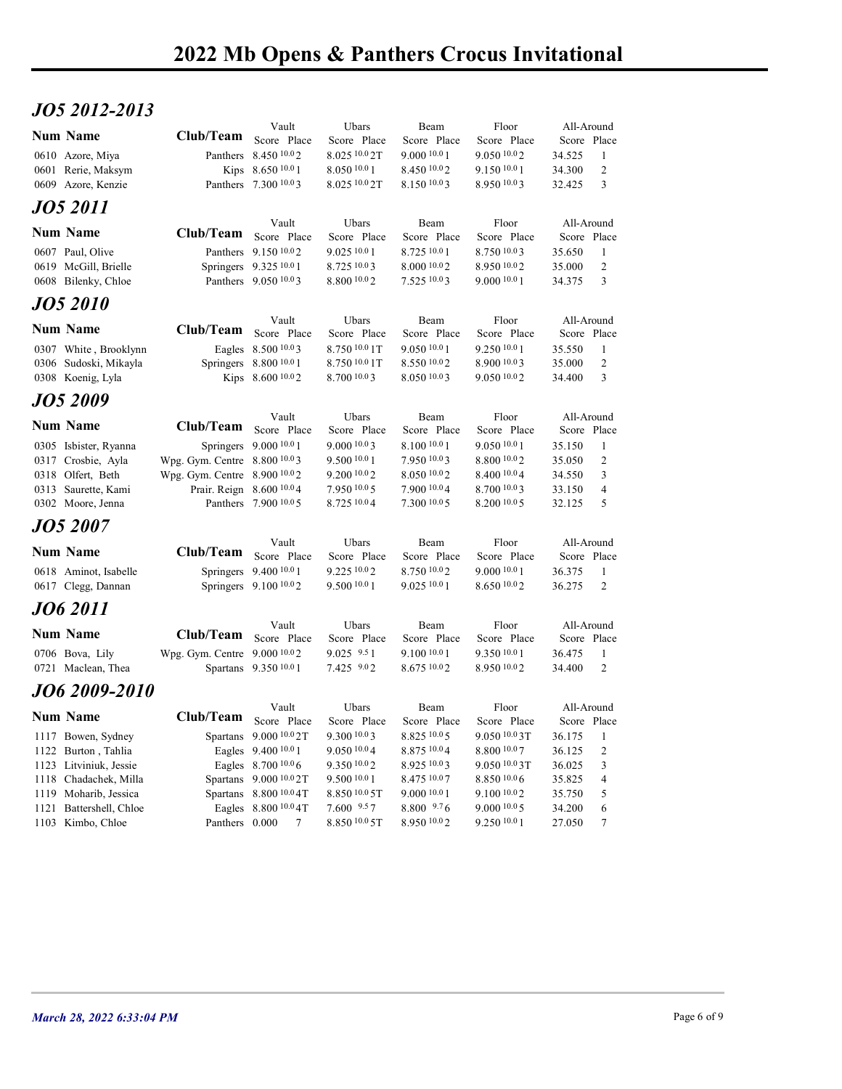## JO5 2012-2013

| JO5 2012-2013                                  |                                                              |                                                  |                               |                             |                              |                           |                             |  |
|------------------------------------------------|--------------------------------------------------------------|--------------------------------------------------|-------------------------------|-----------------------------|------------------------------|---------------------------|-----------------------------|--|
| <b>Num Name</b>                                | Club/Team                                                    | Vault                                            | Ubars                         | Beam                        | Floor                        | All-Around                |                             |  |
| 0610 Azore, Miya                               |                                                              | Score Place<br>Panthers 8.450 10.02              | Score Place<br>8.025 10.0 2T  | Score Place<br>9.000 10.0 1 | Score Place<br>9.050 10.02   | Score Place<br>34.525     | - 1                         |  |
| 0601 Rerie, Maksym                             |                                                              | Kips 8.650 10.0 1                                | 8.050 10.0 1                  | 8.450 10.02                 | $9.150\ 10.01$               | 34.300                    | 2                           |  |
| 0609 Azore, Kenzie                             |                                                              | Panthers 7.300 10.03                             | 8.025 10.0 2T                 | 8.150 10.03                 | 8.950 10.03                  | 32.425                    | $\overline{3}$              |  |
| JO5 2011                                       |                                                              |                                                  |                               |                             |                              |                           |                             |  |
| <b>Num Name</b>                                | Club/Team                                                    | Vault<br>Score Place                             | Ubars                         | Beam                        | Floor                        | All-Around                |                             |  |
| 0607 Paul, Olive                               |                                                              | Panthers 9.150 10.02                             | Score Place<br>9.0251001      | Score Place<br>8.725 10.0 1 | Score Place<br>8.750 10.03   | Score Place<br>35.650     | -1                          |  |
| 0619 McGill, Brielle                           |                                                              | Springers 9.325 10.0 1                           | 8.725 10.03                   | 8.000 10.02                 | 8.950 10.02                  | 35.000                    | 2                           |  |
| 0608 Bilenky, Chloe                            |                                                              | Panthers 9.050 10.03                             | 8.800 10.02                   | 7.525 10.03                 | 9.000 10.0 1                 | 34.375                    | $\overline{\mathbf{3}}$     |  |
| JO5 2010                                       |                                                              |                                                  |                               |                             |                              |                           |                             |  |
| <b>Num Name</b>                                | Club/Team                                                    | Vault<br>Score Place                             | Ubars<br>Score Place          | Beam<br>Score Place         | Floor<br>Score Place         | All-Around<br>Score Place |                             |  |
| 0307 White, Brooklynn                          |                                                              | Eagles 8.500 10.03                               | 8.750 10.0 1T                 | 9.050 10.0 1                | 9.250 10.0 1                 | 35.550                    | -1                          |  |
| 0306 Sudoski, Mikayla<br>0308 Koenig, Lyla     |                                                              | Springers 8.800 10.0 1<br>Kips 8.600 10.02       | 8.750 10.0 1T<br>8.700 10.0 3 | 8.550 10.02<br>8.050 10.03  | 8.900 10.03<br>9.05010.02    | 35.000<br>34.400          | 2<br>$\overline{3}$         |  |
|                                                |                                                              |                                                  |                               |                             |                              |                           |                             |  |
| <b>JO5 2009</b>                                |                                                              | Vault                                            | Ubars                         | Beam                        | Floor                        | All-Around                |                             |  |
| Num Name                                       | Club/Team Score Place                                        |                                                  | Score Place                   | Score Place                 | Score Place                  | Score Place               |                             |  |
| 0305 Isbister, Ryanna                          |                                                              | Springers 9.000 10.0 1                           | 9.000 10.03                   | 8.100 10.0 1                | 9.050 10.0 1                 | 35.150                    | $\mathbf{1}$                |  |
| 0317 Crosbie, Ayla<br>0318 Olfert, Beth        | Wpg. Gym. Centre 8.800 10.03<br>Wpg. Gym. Centre 8.900 10.02 |                                                  | 9.500 10.0 1<br>9.200 10.0 2  | 7.950 10.03<br>8.050 10.02  | 8.800 10.02<br>8.400 10.04   | 35.050<br>34.550          | 2<br>3                      |  |
| 0313 Saurette, Kami                            | Prair. Reign 8.600 10.04                                     |                                                  | 7.950 10.0 5                  | 7.900 10.04                 | 8.700 10.03                  | 33.150                    | 4                           |  |
| 0302 Moore, Jenna                              |                                                              | Panthers 7.900 10.0 5                            | 8.725 10.0 4                  | 7.300 10.0 5                | 8.200 10.0 5                 | 32.125                    | $\overline{5}$              |  |
| <b>JO5 2007</b>                                |                                                              |                                                  |                               |                             |                              |                           |                             |  |
| Num Name                                       | Club/Team Score Place                                        | Vault                                            | Ubars<br>Score Place          | Beam<br>Score Place         | Floor<br>Score Place         | All-Around<br>Score Place |                             |  |
| 0618 Aminot, Isabelle                          |                                                              | Springers 9.400 10.0 1                           | 9.225 10.02                   | 8.750 10.02                 | 9.00010.01                   | 36.375                    | -1                          |  |
| 0617 Clegg, Dannan                             |                                                              | Springers 9.100 10.02                            | 9.500 10.0 1                  | 9.025 10.0 1                | 8.650 10.02                  | 36.275                    | $\overline{\phantom{a}}$    |  |
| JO6 2011                                       |                                                              |                                                  |                               |                             |                              |                           |                             |  |
| <b>Num Name</b>                                | Club/Team Score Place                                        | Vault                                            | Ubars                         | Beam                        | ${\rm Floor}$                | All-Around                |                             |  |
| 0706 Bova, Lily                                | Wpg. Gym. Centre 9.000 <sup>10.0</sup> 2                     |                                                  | Score Place<br>$9.025$ $9.51$ | Score Place<br>9.100 10.0 1 | Score Place<br>9.350 10.0 1  | Score Place<br>36.475     | $\mathbf{1}$                |  |
| 0721 Maclean, Thea                             |                                                              | Spartans 9.350 10.0 1                            | 7.425 9.02                    | 8.675 10.02                 | 8.950 10.02                  | 34.400                    | 2                           |  |
| JO6 2009-2010                                  |                                                              |                                                  |                               |                             |                              |                           |                             |  |
|                                                |                                                              | Vault                                            | Ubars                         | Beam                        | ${\rm Floor}$                | All-Around                |                             |  |
| Num Name                                       | Club/Team                                                    | Score Place<br>Spartans 9.000 10.0 2T            | Score Place                   | Score Place                 | Score Place                  | Score Place               |                             |  |
| 1117 Bowen, Sydney<br>1122 Burton, Tahlia      |                                                              | Eagles 9.400 10.0 1                              | $9.300\,10.03$<br>9.050 10.04 | 8.825 10.0 5<br>8.875 10.04 | 9.050 10.0 3T<br>8.800 10.07 | 36.175<br>36.125          | -1<br>$\sqrt{2}$            |  |
| 1123 Litviniuk, Jessie                         |                                                              | Eagles 8.700 10.0 6                              | 9.350 10.02                   | 8.925 10.03                 | 9.050 10.0 3T                | 36.025                    | $\ensuremath{\mathfrak{Z}}$ |  |
| 1118 Chadachek, Milla<br>1119 Moharib, Jessica |                                                              | Spartans 9.000 10.0 2T<br>Spartans 8.800 10.0 4T | 9.500 10.0 1<br>8.850 10.0 5T | 8.475 10.07<br>9.000 10.0 1 | 8.850 10.0 6<br>9.100 10.02  | 35.825<br>35.750          | $\overline{4}$<br>5         |  |
| 1121 Battershell, Chloe                        |                                                              | Eagles 8.800 10.0 4T                             | 7.600 9.57                    | 8.800 9.76                  | 9.00010005                   | 34.200                    | 6                           |  |
| 1103 Kimbo, Chloe                              |                                                              | Panthers $0.000$ 7                               | 8.850 10.0 5T                 | 8.950 10.02                 | 9.250 10.0 1                 | 27.050                    | $7\phantom{.0}$             |  |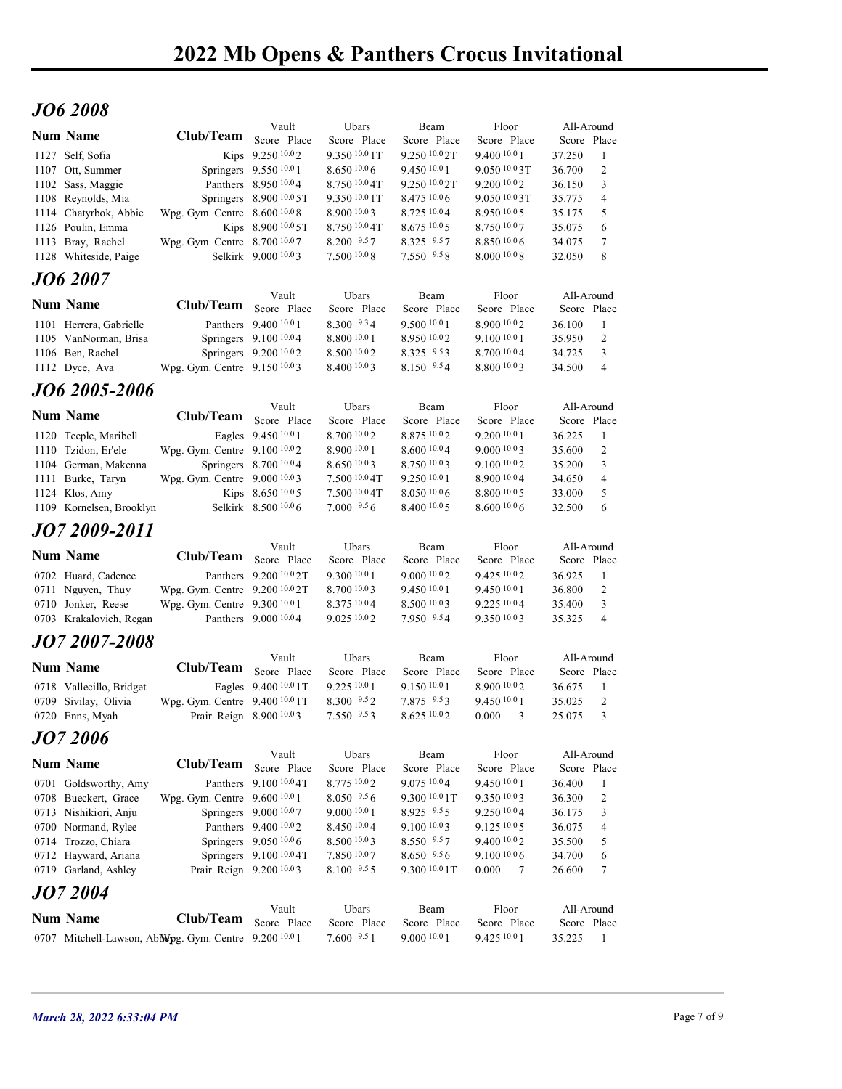## JO6 2008

|                                          |                                              |                                                                    |                                                  |                                |                                 | 2022 Mb Opens & Panthers Crocus Invitational |                           |                              |             |
|------------------------------------------|----------------------------------------------|--------------------------------------------------------------------|--------------------------------------------------|--------------------------------|---------------------------------|----------------------------------------------|---------------------------|------------------------------|-------------|
|                                          |                                              |                                                                    |                                                  |                                |                                 |                                              |                           |                              |             |
| <b>JO6 2008</b>                          |                                              |                                                                    |                                                  |                                |                                 |                                              |                           |                              |             |
| <b>Num Name</b>                          |                                              | Club/Team Score Place                                              | Vault                                            | Ubars                          | Beam                            | Floor                                        | All-Around                |                              |             |
| 1127 Self, Sofia                         |                                              |                                                                    | Kips 9.250 10.02                                 | Score Place<br>9.350 10.0 1T   | Score Place<br>9.250 10.0 2T    | Score Place<br>9.400 10.0 1                  | Score Place<br>37.250     | -1                           |             |
| 1107 Ott, Summer                         |                                              |                                                                    | Springers 9.550 10.0 1                           | 8.650 10.0 6                   | 9.450 10.0 1                    | 9.050 10.03T                                 | 36.700                    | 2                            |             |
| 1102 Sass, Maggie<br>1108 Reynolds, Mia  |                                              |                                                                    | Panthers 8.950 10.04<br>Springers 8.900 10.0 5T  | 8.750 10.0 4T<br>9.350 10.0 1T | 9.250 10.0 2T<br>8.475 10.0 6   | 9.200 10.02<br>9.050 10.03T                  | 36.150<br>35.775          | 3<br>$\overline{4}$          |             |
|                                          | 1114 Chatyrbok, Abbie                        | Wpg. Gym. Centre 8.600 10.08                                       |                                                  | 8.900 10.0 3                   | 8.725 10.04                     | 8.950 10.05                                  | 35.175                    | 5                            |             |
| 1126 Poulin, Emma<br>1113 Bray, Rachel   |                                              | Wpg. Gym. Centre 8.700 10.07                                       | Kips 8.900 10.0 5T                               | 8.750 10.0 4T<br>8.200 9.57    | 8.675 10.0 5<br>8.325 9.57      | 8.750 10.07<br>8.850 10.06                   | 35.075<br>34.075          | 6<br>7                       |             |
|                                          | 1128 Whiteside, Paige                        |                                                                    | Selkirk 9.000 10.03                              | 7.500 10.0 8                   | 7.550 9.58                      | 8.000 10.08                                  | 32.050                    | 8                            |             |
| <b>JO6 2007</b>                          |                                              |                                                                    |                                                  |                                |                                 |                                              |                           |                              |             |
| <b>Num Name</b>                          |                                              | Club/Team                                                          | Vault<br>Score Place                             | Ubars<br>Score Place           | Beam<br>Score Place             | Floor<br>Score Place                         | All-Around<br>Score Place |                              |             |
|                                          | 1101 Herrera, Gabrielle                      |                                                                    | Panthers 9.400 10.0 1                            | 8.300 9.34                     | 9.50010.01                      | 8.900 10.02                                  | 36.100                    | $\mathbf{1}$                 |             |
| 1106 Ben, Rachel                         | 1105 VanNorman, Brisa                        |                                                                    | Springers 9.100 10.0 4<br>Springers 9.200 10.0 2 | 8.800 10.0 1<br>8.500 10.0 2   | 8.950 10.02<br>8.325 9.53       | 9.100 10.0 1<br>8.700 10.04                  | 35.950<br>34.725          | 2<br>$\mathbf{3}$            |             |
| 1112 Dyce, Ava                           |                                              | Wpg. Gym. Centre 9.150 10.03                                       |                                                  | 8.400 10.0 3                   | 8.150 9.54                      | 8.800 10.03                                  | 34.500                    | $\overline{4}$               |             |
|                                          | JO6 2005-2006                                |                                                                    |                                                  |                                |                                 |                                              |                           |                              |             |
| <b>Num Name</b>                          |                                              | Club/Team Score Place                                              | Vault                                            | Ubars<br>Score Place           | Beam<br>Score Place             | Floor<br>Score Place                         | All-Around<br>Score Place |                              |             |
|                                          | 1120 Teeple, Maribell                        |                                                                    | Eagles 9.450 10.0 1                              | 8.700 10.0 2                   | 8.875 10.02                     | 9.200 10.0 1                                 | 36.225                    | - 1                          |             |
| 1110 Tzidon, Er'ele                      |                                              | Wpg. Gym. Centre 9.100 10.02                                       |                                                  | 8.900 10.0 1                   | 8.600 10.04                     | 9.000 10.03                                  | 35.600                    | 2                            |             |
| 1111 Burke, Taryn                        | 1104 German, Makenna                         | Wpg. Gym. Centre 9.000 10.03                                       | Springers 8.700 10.04                            | 8.650 10.03<br>$7.50010.04$ T  | 8.750 10.03<br>9.250 10.01      | 9.100 10.02<br>8.900 10.04                   | 35.200<br>34.650          | 3<br>4                       |             |
| 1124 Klos, Amy                           |                                              |                                                                    | Kips 8.650 10.05                                 | 7.500 10.0 4T                  | 8.050 10.06                     | 8.800 10.0 5                                 | 33.000                    | 5                            |             |
|                                          | 1109 Kornelsen, Brooklyn                     |                                                                    | Selkirk 8.500 10.06                              | $7.000\,9.56$                  | 8.400 10.0 5                    | 8.60010.06                                   | 32.500                    | 6                            |             |
|                                          | JO7 2009-2011                                |                                                                    | Vault                                            | Ubars                          | Beam                            | Floor                                        | All-Around                |                              |             |
| <b>Num Name</b>                          |                                              | <b>Club/Team</b>                                                   | Score Place                                      | Score Place                    | Score Place                     | Score Place                                  | Score Place               |                              |             |
| 0702 Huard, Cadence<br>0711 Nguyen, Thuy |                                              | Wpg. Gym. Centre 9.200 10.0 2T                                     | Panthers 9.200 10.0 2T                           | 9.300 10.0 1<br>8.700 10.0 3   | 9.000 10.02<br>9.450 10.0 1     | 9.425 10.02<br>9.450 10.0 1                  | 36.925<br>36.800          | $\mathbf{1}$<br>2            |             |
| 0710 Jonker, Reese                       |                                              | Wpg. Gym. Centre 9.300 10.0 1                                      |                                                  | 8.375 10.04                    | 8.500 10.03                     | 9.225 10.04                                  | 35.400                    | $\mathbf{3}$                 |             |
|                                          | 0703 Krakalovich, Regan                      |                                                                    | Panthers 9.000 10.04                             | 9.025 10.02                    | 7.950 9.54                      | 9.350 10.03                                  | 35.325                    | $\overline{4}$               |             |
|                                          | JO7 2007-2008                                |                                                                    |                                                  |                                |                                 |                                              |                           |                              |             |
| <b>Num Name</b>                          |                                              | Club/Team                                                          | Vault<br>Score Place                             | Ubars<br>Score Place           | Beam<br>Score Place             | Floor<br>Score Place                         | All-Around<br>Score Place |                              |             |
|                                          | 0718 Vallecillo, Bridget                     |                                                                    | Eagles 9.400 10.0 1T                             | 9.225 10.0 1                   | $9.150\;^{10.0}1$               | 8.900 10.02                                  | 36.675                    | - 1                          |             |
| 0709 Sivilay, Olivia<br>0720 Enns, Myah  |                                              | Wpg. Gym. Centre 9.400 10.0 1T<br>Prair. Reign 8.900 10.03         |                                                  | 8.300 9.52<br>$7.550^{9.5}3$   | 7.875 9.53<br>$8.625\ ^{10.0}2$ | 9.450 10.0 1<br>0.000 3                      | 35.025<br>25.075          | 2<br>$\overline{\mathbf{3}}$ |             |
| <b>JO7 2006</b>                          |                                              |                                                                    |                                                  |                                |                                 |                                              |                           |                              |             |
| <b>Num Name</b>                          |                                              | Club/Team Score Place                                              | Vault                                            | Ubars                          | Beam                            | Floor                                        | All-Around                |                              |             |
|                                          | 0701 Goldsworthy, Amy                        |                                                                    | Panthers 9.100 10.0 4T                           | Score Place<br>8.775 10.02     | Score Place<br>9.075 10.04      | Score Place<br>9.450 10.0 1                  | Score Place<br>36.400     | -1                           |             |
|                                          | 0708 Bueckert, Grace                         | Wpg. Gym. Centre 9.600 10.0 1                                      |                                                  | $8.050$ $9.56$                 | 9.300 10.0 1T                   | 9.350 10.03                                  | 36.300                    | 2                            |             |
|                                          | 0713 Nishikiori, Anju<br>0700 Normand, Rylee |                                                                    | Springers 9.000 10.07<br>Panthers 9.400 10.02    | 9.000 10.0 1<br>8.450 10.04    | 8.925 9.55<br>9.100 10.03       | 9.250 10.04<br>9.125 10.0 5                  | 36.175<br>36.075          | 3<br>$\overline{4}$          |             |
| 0714 Trozzo, Chiara                      |                                              |                                                                    | Springers 9.050 10.0 6                           | 8.500 10.0 3                   | 8.550 9.57                      | 9.400 10.02                                  | 35.500                    | 5                            |             |
|                                          | 0712 Hayward, Ariana                         |                                                                    | Springers 9.100 10.0 4T                          | 7.850 10.07                    | $8.650$ $9.56$                  | 9.100 10.0 6                                 | 34.700                    | 6                            |             |
|                                          | 0719 Garland, Ashley                         | Prair. Reign 9.200 10.03                                           |                                                  | 8.100 9.55                     | 9.300 10.0 1T                   | 0.000 7                                      | 26.600                    | $\tau$                       |             |
| <b>JO7 2004</b>                          |                                              |                                                                    | Vault                                            | Ubars                          | Beam                            | Floor                                        | All-Around                |                              |             |
| <b>Num Name</b>                          |                                              | Club/Team Score Place                                              |                                                  | Score Place                    | Score Place                     | Score Place                                  | Score Place               |                              |             |
|                                          |                                              | 0707 Mitchell-Lawson, Abblepg. Gym. Centre 9.200 <sup>10.0</sup> 1 |                                                  | $7.600$ $9.51$                 | 9.000 10.0 1                    | 9.425 10.0 1                                 | 35.225 1                  |                              |             |
|                                          |                                              |                                                                    |                                                  |                                |                                 |                                              |                           |                              |             |
|                                          | March 28, 2022 6:33:04 PM                    |                                                                    |                                                  |                                |                                 |                                              |                           |                              | Page 7 of 9 |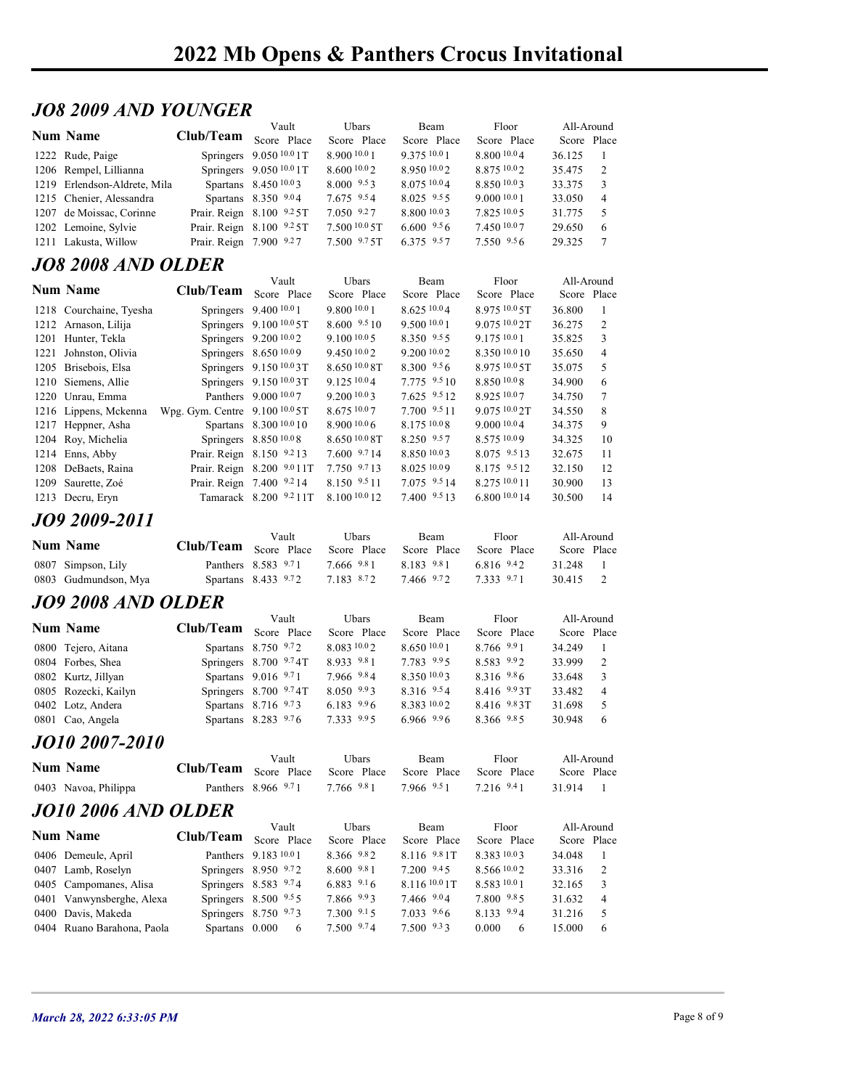#### JO8 2009 AND YOUNGER

|                              |                         |                          |                  |                        |                  | 2022 Mb Opens & Panthers Crocus Invitational |
|------------------------------|-------------------------|--------------------------|------------------|------------------------|------------------|----------------------------------------------|
|                              |                         |                          |                  |                        |                  |                                              |
|                              |                         |                          |                  |                        |                  |                                              |
| <b>JO8 2009 AND YOUNGER</b>  |                         |                          |                  |                        |                  |                                              |
|                              |                         | Vault                    | Ubars            | Beam                   | Floor            | All-Around                                   |
| <b>Num Name</b>              | Club/Team               | Score Place              | Score Place      | Score Place            | Score Place      | Score Place                                  |
| 1222 Rude, Paige             |                         | Springers 9.050 10.0 1T  | 8.900 10.0 1     | 9.375 10.01            | 8.800 10.04      | 36.125<br>-1                                 |
| 1206 Rempel, Lillianna       |                         | Springers 9.050 10.0 1T  | 8.600 10.0 2     | 8.950 10.02            | 8.875 10.02      | 2<br>35.475                                  |
| 1219 Erlendson-Aldrete, Mila |                         | Spartans 8.450 10.03     | $8.000 \t .9.53$ | 8.075 10.04            | 8.850 10.03      | 33.375<br>3                                  |
| 1215 Chenier, Alessandra     |                         | Spartans 8.350 9.04      | $7.675$ $9.54$   | $8.025$ $9.55$         | 9.0001001        | 33.050<br>$\overline{4}$                     |
| 1207 de Moissac, Corinne     |                         | Prair. Reign 8.100 9.25T | 7.050 9.27       | 8.800 10.03            | 7.825 10.0 5     | 31.775<br>5                                  |
|                              |                         | Prair. Reign 8.100 9.25T | 7.500 10.0 5T    | $6.600\text{ }^{9.5}6$ | 7.450 10.07      | 29.650<br>6                                  |
| 1202 Lemoine, Sylvie         |                         |                          | $7.500$ $9.75$ T | 6.375 9.57             | 7.550 9.56       | 29.325<br>$\overline{7}$                     |
| 1211 Lakusta, Willow         | Prair. Reign 7.900 9.27 |                          |                  |                        |                  |                                              |
|                              |                         |                          |                  |                        |                  |                                              |
| <b>JO8 2008 AND OLDER</b>    |                         | Vault                    | Ubars            | Beam                   | Floor            | All-Around                                   |
| <b>Num Name</b>              | Club/Team               | Score Place              | Score Place      | Score Place            | Score Place      | Score Place                                  |
| 1218 Courchaine, Tyesha      |                         | Springers 9.400 10.0 1   | 9.80010.01       | 8.625 10.04            | 8.975 10.0 5T    | 36.800<br>-1                                 |
| 1212 Arnason, Lilija         |                         | Springers 9.100 10.0 5T  | 8.600 9.5 10     | 9.500 10.0 1           | $9.075\,10.02$ T | 2<br>36.275                                  |
| 1201 Hunter, Tekla           |                         | Springers 9.200 10.02    | 9.10010005       | 8.350 9.55             | 9.175 10.0 1     | 35.825<br>3                                  |
| 1221 Johnston, Olivia        |                         | Springers 8.650 10.09    | 9.450 10.02      | 9.200 10.02            | 8.350 10.0 10    | 35.650<br>$\overline{4}$                     |
| 1205 Brisebois, Elsa         |                         | Springers 9.150 10.03T   | 8.650 10.0 8T    | 8.300 9.56             | 8.975 10.0 5T    | 5<br>35.075                                  |
| 1210 Siemens, Allie          |                         | Springers 9.150 10.03T   | 9.125 10.0 4     | 7.775 9.5 10           | 8.850 10.08      | 34.900<br>6                                  |

#### JO8 2008 AND OLDER

|                                                      | 2022 Mb Opens & Panthers Crocus Invitational |                                                  |                                     |                               |                              |                  |                     |  |
|------------------------------------------------------|----------------------------------------------|--------------------------------------------------|-------------------------------------|-------------------------------|------------------------------|------------------|---------------------|--|
|                                                      |                                              |                                                  |                                     |                               |                              |                  |                     |  |
|                                                      |                                              |                                                  |                                     |                               |                              |                  |                     |  |
| <i><b>JO8 2009 AND YOUNGER</b></i>                   |                                              |                                                  |                                     |                               |                              |                  |                     |  |
| <b>Num Name</b>                                      | Club/Team Score Place                        | Vault                                            | Ubars                               | Beam                          | Floor                        | All-Around       |                     |  |
|                                                      |                                              |                                                  | Score Place                         | Score Place                   | Score Place                  | Score Place      |                     |  |
| 1222 Rude, Paige                                     |                                              | Springers 9.050 10.0 1T                          | 8.900 10.0 1                        | 9.375 10.0 1                  | 8.800 10.04                  | 36.125           |                     |  |
| 1206 Rempel, Lillianna                               |                                              | Springers 9.050 10.0 1T                          | 8.600 10.0 2                        | 8.950 10.02                   | 8.875 10.02                  | 35.475           | 2                   |  |
| 1219 Erlendson-Aldrete, Mila                         |                                              | Spartans 8.450 10.03                             | $8.000 \t .0033$                    | 8.075 10.04                   | 8.850 10.03                  | 33.375           | 3                   |  |
| 1215 Chenier, Alessandra<br>1207 de Moissac, Corinne |                                              | Spartans 8.350 9.04<br>Prair. Reign 8.100 9.25T  | $7.675$ $9.54$<br>$7.050$ $9.27$    | $8.025$ $9.55$<br>8.800 10.03 | 9.0001001<br>7.825 10.05     | 33.050<br>31.775 | $\overline{4}$<br>5 |  |
| 1202 Lemoine, Sylvie                                 |                                              | Prair. Reign 8.100 9.25T                         | 7.50010005                          | $6.600^{9.5}6$                | 7.450 10.07                  | 29.650           | 6                   |  |
| 1211 Lakusta, Willow                                 | Prair. Reign 7.900 9.27                      |                                                  | $7.500$ $9.75$ T                    | 6.375 9.57                    | 7.550 9.56                   | 29.325           | $\tau$              |  |
|                                                      |                                              |                                                  |                                     |                               |                              |                  |                     |  |
| <b>JO8 2008 AND OLDER</b>                            |                                              |                                                  |                                     |                               |                              |                  |                     |  |
| <b>Num Name</b>                                      | Club/Team                                    | Vault<br>Score Place                             | Ubars                               | Beam                          | Floor                        | All-Around       |                     |  |
|                                                      |                                              |                                                  | Score Place<br>9.800 10.0 1         | Score Place<br>8.625 10.04    | Score Place<br>8.975 10.0 5T |                  | Score Place         |  |
| 1218 Courchaine, Tyesha                              |                                              | Springers 9.400 10.0 1                           |                                     |                               |                              | 36.800           | -1                  |  |
| 1212 Arnason, Lilija<br>1201 Hunter, Tekla           |                                              | Springers 9.100 10.0 5T<br>Springers 9.200 10.02 | $8.600 \t .9.510$<br>$9.100\,10.05$ | 9.500 10.0 1<br>8.350 9.55    | 9.075 10.0 2T<br>9.17510.01  | 36.275<br>35.825 | 2<br>3              |  |
| 1221 Johnston, Olivia                                |                                              | Springers 8.650 10.09                            | 9.450 10.0 2                        | 9.200 10.0 2                  | 8.350 10.0 10                | 35.650           | $\overline{4}$      |  |
| 1205 Brisebois, Elsa                                 |                                              | Springers 9.150 10.03T                           | 8.650 <sup>10.0</sup> 8T            | $8.300$ $9.56$                | 8.975 10.0 5T                | 35.075           | 5                   |  |
| 1210 Siemens, Allie                                  |                                              | Springers 9.150 10.0 3T                          | 9.125110.04                         | 7.775 9.5 10                  | 8.850 10.08                  | 34.900           | 6                   |  |
| 1220 Unrau, Emma                                     |                                              | Panthers 9.000 10.07                             | 9.2001003                           | 7.625 9.5 12                  | 8.925 10.07                  | 34.750           | 7                   |  |
| 1216 Lippens, Mckenna                                | Wpg. Gym. Centre 9.100 10.0 5T               |                                                  | 8.675 10.07                         | 7.700 9.5 11                  | $9.075\,10.02$ T             | 34.550           | 8                   |  |
| 1217 Heppner, Asha                                   |                                              | Spartans 8.300 10.0 10                           | 8.9001006                           | 8.175 10.0 8                  | 9.0001004                    | 34.375           | 9                   |  |
| 1204 Roy, Michelia                                   |                                              | Springers 8.850 10.08                            | $8.65010.08$ T                      | $8.250$ $9.57$                | 8.575 10.09                  | 34.325           | 10                  |  |
| 1214 Enns, Abby                                      |                                              | Prair. Reign 8.150 9.213                         | $7.600$ $9.714$                     | 8.850 10.03                   | 8.075 9.5 13                 | 32.675           | 11                  |  |
| 1208 DeBaets, Raina                                  |                                              | Prair. Reign 8.200 9.011T                        | 7.750 9.713                         | 8.025 10.09                   | 8.175 9.5 12                 | 32.150           | 12                  |  |
| 1209 Saurette, Zoé                                   |                                              | Prair. Reign 7.400 9.214                         | 8.150 9.5 11                        | 7.075 9.5 14                  | 8.275 10.0 11                | 30.900           | 13                  |  |
| 1213 Decru, Eryn                                     |                                              | Tamarack 8.200 9.211T                            | 8.100 10.0 12                       | 7.400 9.5 13                  | 6.800 10.0 14                | 30.500           | 14                  |  |
| JO9 2009-2011                                        |                                              |                                                  |                                     |                               |                              |                  |                     |  |
|                                                      |                                              | Vault                                            | Ubars                               | Beam                          | Floor                        | All-Around       |                     |  |
| <b>Num Name</b>                                      | Club/Team Score Place                        |                                                  | Score Place                         | Score Place                   | Score Place                  | Score Place      |                     |  |
| 0807 Simpson, Lily                                   |                                              | Panthers 8.583 9.71                              | 7.666 9.81                          | 8.183 9.81                    | 6.816 9.42                   | 31.248           | $\mathbf{1}$        |  |
| 0803 Gudmundson, Mya                                 |                                              | Spartans 8.433 9.72                              | 7.183 8.72                          | 7.466 9.72                    | 7.333 9.71                   | 30.415 2         |                     |  |
| JO9 2008 AND OLDER                                   |                                              |                                                  |                                     |                               |                              |                  |                     |  |
|                                                      |                                              | Vault                                            | Ubars                               | Beam                          | Floor                        | All-Around       |                     |  |
| <b>Num Name</b>                                      | Club/Team Score Place                        |                                                  | Score Place                         | Score Place                   | Score Place                  | Score Place      |                     |  |
| 0800 Tejero, Aitana                                  |                                              | Spartans 8.750 9.72                              | 8.083 10.02                         | 8.650 10.0 1                  | $8.766$ $9.91$               | 34.249           | -1                  |  |
| 0804 Forbes, Shea                                    |                                              | Springers 8.700 9.74T                            | 8.933 9.81                          | 7.783 9.95                    | $8.583^{9.92}$               | 33.999           | 2                   |  |
| 0802 Kurtz, Jillyan                                  |                                              | Spartans 9.016 9.71                              | 7.966 9.84                          | 8.350 10.03                   | 8.316 9.86                   | 33.648           | 3                   |  |
| 0805 Rozecki, Kailyn                                 |                                              | Springers $8.700 \frac{9.74T}{ }$                | $8.050$ $9.93$                      | 8.316 9.54                    | 8.416 $9.93T$                | 33.482           | 4                   |  |
| 0402 Lotz, Andera                                    |                                              | Spartans 8.716 9.73                              | $6.183$ $9.96$                      | 8.383 10.02                   | 8.416 9.83T                  | 31.698           | 5                   |  |
| 0801 Cao, Angela                                     |                                              | Spartans 8.283 9.76                              | $7.333$ $9.95$                      | $6.966$ $9.96$                | $8.366$ $9.85$               | 30.948           | $6\overline{6}$     |  |
| <i><b>JO10 2007-2010</b></i>                         |                                              |                                                  |                                     |                               |                              |                  |                     |  |
|                                                      |                                              | Vault                                            | Ubars                               | Beam                          | Floor                        | All-Around       |                     |  |
| <b>Num Name</b>                                      | Club/Team Score Place                        |                                                  | Score Place                         | Score Place                   | Score Place                  |                  | Score Place         |  |

#### JO9 2009-2011

| <b>Num Name</b>      | Club/Team | Vault                   | Ubars.      | Beam        | <b>Floor</b> | All-Around  |  |
|----------------------|-----------|-------------------------|-------------|-------------|--------------|-------------|--|
|                      |           | Score Place             | Score Place | Score Place | Score Place  | Score Place |  |
| 0807 Simpson, Lily   |           | Panthers 8.583 9.71     | 7.666 9.81  | 8.183 9.81  | 6.816 9.42   | 31.248 1    |  |
| 0803 Gudmundson, Mya |           | Spartans $8.433$ $9.72$ | 7.183 8.72  | 7.466 9.72  | 7.333 9.71   | 30.415 2    |  |

#### JO9 2008 AND OLDER

| 1221 Johnston, Olivia            |                                | Springers 8.650 10.09             | 9.450 10.0 2           | 9.200 10.02              | 8.350 10.0 10  | 35.650                             | 4            |             |
|----------------------------------|--------------------------------|-----------------------------------|------------------------|--------------------------|----------------|------------------------------------|--------------|-------------|
| 1205 Brisebois, Elsa             |                                | Springers 9.150 10.03T            | 8.650 10.0 8T          | 8.300 9.56               | 8.975 10.0 5T  | 35.075                             | 5            |             |
| 1210 Siemens, Allie              |                                | Springers 9.150 10.03T            | 9.125 10.04            | 7.775 9.5 10             | 8.850 10.0 8   | 34.900                             | 6            |             |
| 1220 Unrau, Emma                 |                                | Panthers 9.000 10.07              | 9.200 10.0 3           | $7.625$ $9.512$          | 8.925 10.07    | 34.750                             | 7            |             |
| 1216 Lippens, Mckenna            | Wpg. Gym. Centre 9.100 10.0 5T |                                   | 8.675 10.07            | 7.700 9.5 11             | 9.075 10.0 2T  | 34.550                             | 8            |             |
| 1217 Heppner, Asha               |                                | Spartans 8.300 10.0 10            | 8.900 10.0 6           | 8.175 10.0 8             | 9.0001004      | 34.375                             | 9            |             |
| 1204 Roy, Michelia               |                                | Springers 8.850 10.08             | 8.650 10.0 8T          | 8.250 9.57               | 8.575 10.09    | 34.325                             | 10           |             |
| 1214 Enns, Abby                  |                                | Prair. Reign 8.150 9.213          | $7.600 \t .9.714$      | 8.850 10.03              | 8.075 9.5 13   | 32.675                             | 11           |             |
| 1208 DeBaets, Raina              |                                | Prair. Reign 8.200 9.011T         | 7.750 9.713            | 8.025 10.09              | 8.175 9.5 12   | 32.150                             | 12           |             |
| 1209 Saurette, Zoé               |                                | Prair. Reign 7.400 9.214          | 8.150 9.5 11           | 7.075 9.5 14             | 8.275 10.0 11  | 30.900                             | 13           |             |
| 1213 Decru, Eryn                 |                                | Tamarack 8.200 9.211T             | 8.100 10.0 12          | 7.400 9.5 13             | 6.800 10.0 14  | 30.500                             | 14           |             |
| JO9 2009-2011                    |                                |                                   |                        |                          |                |                                    |              |             |
|                                  |                                | Vault                             | Ubars                  | Beam                     | Floor          | All-Around                         |              |             |
| <b>Num Name</b>                  | Club/Team                      | Score Place                       | Score Place            | Score Place              | Score Place    | Score Place                        |              |             |
| 0807 Simpson, Lily               |                                | Panthers 8.583 9.71               | $7.666$ $9.81$         | 8.183 9.81               | 6.816 9.42     | 31.248                             | $\mathbf{1}$ |             |
| 0803 Gudmundson, Mya             |                                | Spartans 8.433 9.72               | 7.183 8.72             | 7.466 9.72               | 7.333 9.71     | 30.415<br>$\overline{\phantom{a}}$ |              |             |
| <i><b>JO9 2008 AND OLDER</b></i> |                                |                                   |                        |                          |                |                                    |              |             |
|                                  |                                | Vault                             | Ubars                  | Beam                     | Floor          | All-Around                         |              |             |
| <b>Num Name</b>                  | Club/Team                      | Score Place                       | Score Place            | Score Place              | Score Place    | Score Place                        |              |             |
| 0800 Tejero, Aitana              |                                | Spartans 8.750 9.72               | 8.083 10.02            | 8.650 10.0 1             | 8.766 9.91     | 34.249                             | -1           |             |
| 0804 Forbes, Shea                |                                | Springers $8.700 \frac{9.74T}{ }$ | $8.933$ $9.81$         | $7.783$ $9.95$           | $8.583$ $9.92$ | 33.999                             | 2            |             |
| 0802 Kurtz, Jillyan              |                                | Spartans 9.016 9.71               | 7.966 9.84             | 8.350 10.03              | 8.316 9.86     | 33.648                             | 3            |             |
| 0805 Rozecki, Kailyn             |                                | Springers 8.700 9.74T             | $8.050$ $9.93$         | 8.316 9.54               | 8.416 9.93T    | 33.482                             | 4            |             |
| 0402 Lotz, Andera                |                                | Spartans 8.716 9.73               | $6.183$ $9.96$         | 8.383 10.02              | 8.416 9.83T    | 31.698                             | 5            |             |
| 0801 Cao, Angela                 |                                | Spartans 8.283 9.76               | $7.333$ $9.95$         | $6.966$ $9.96$           | $8.366$ $9.85$ | 30.948                             | 6            |             |
| <i><b>JO10 2007-2010</b></i>     |                                |                                   |                        |                          |                |                                    |              |             |
|                                  |                                | Vault                             | Ubars                  | Beam                     | Floor          | All-Around                         |              |             |
| <b>Num Name</b>                  | Club/Team                      | Score Place                       | Score Place            | Score Place              | Score Place    | Score Place                        |              |             |
| 0403 Navoa, Philippa             |                                | Panthers 8.966 9.71               | 7.766 9.81             | 7.966 9.51               | 7.216 9.41     | 31.914 1                           |              |             |
| <b>JO10 2006 AND OLDER</b>       |                                |                                   |                        |                          |                |                                    |              |             |
|                                  |                                | Vault                             | Ubars                  | Beam                     | Floor          | All-Around                         |              |             |
| <b>Num Name</b>                  | Club/Team                      | Score Place                       | Score Place            | Score Place              | Score Place    | Score Place                        |              |             |
| 0406 Demeule, April              |                                | Panthers 9.183 10.0 1             | 8.366 9.82             | 8.116 9.81T              | 8.383 10.03    | 34.048                             | $\mathbf{1}$ |             |
| 0407 Lamb, Roselyn               |                                | Springers 8.950 9.72              | $8.600\text{ }^{9.8}1$ | $7.200$ $9.45$           | 8.566 10.02    | 33.316                             | 2            |             |
| 0405 Campomanes, Alisa           |                                | Springers 8.583 9.74              | $6.883$ $9.16$         | 8.116 <sup>10.0</sup> 1T | 8.583 10.0 1   | 32.165                             | 3            |             |
| 0401 Vanwynsberghe, Alexa        |                                | Springers 8.500 9.55              | 7.866 9.93             | 7.466 9.04               | 7.800 9.85     | 31.632                             | 4            |             |
| 0400 Davis, Makeda               |                                | Springers 8.750 9.73              | $7.300$ $9.15$         | 7.033 9.66               | 8.133 9.94     | 31.216                             | 5            |             |
| 0404 Ruano Barahona, Paola       | Spartans 0.000                 | - 6                               | 7.500 9.74             | $7.500$ $9.33$           | 0.000 6        | 15.000                             | 6            |             |
|                                  |                                |                                   |                        |                          |                |                                    |              |             |
|                                  |                                |                                   |                        |                          |                |                                    |              |             |
| March 28, 2022 6:33:05 PM        |                                |                                   |                        |                          |                |                                    |              | Page 8 of 9 |